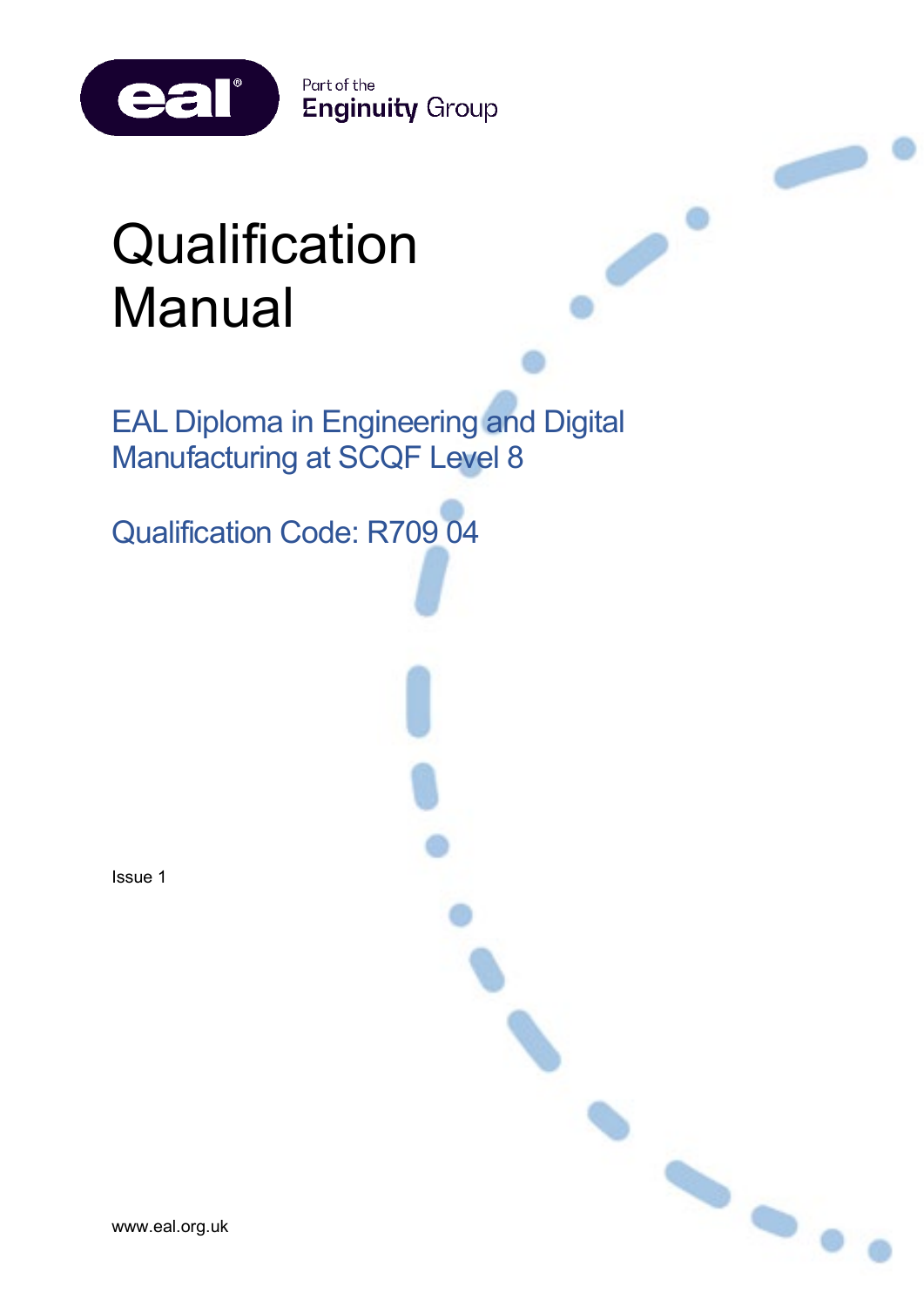Part of the **Enginuity Group** 

 $\bullet$ 

# **Qualification** Manual

eal®

EAL Diploma in Engineering and Digital Manufacturing at SCQF Level 8

Qualification Code: R709 04

Issue 1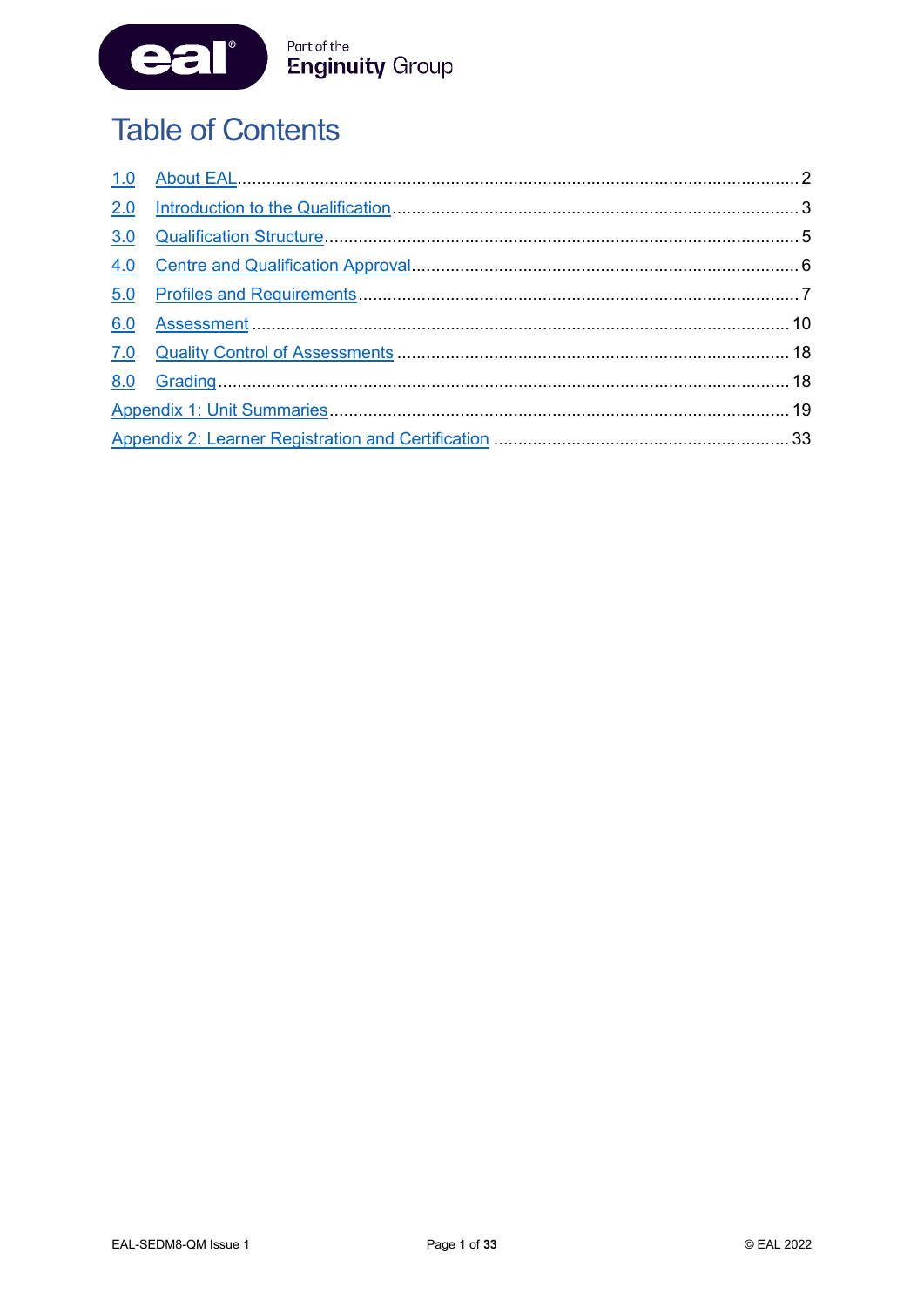

# **Table of Contents**

| 2.0 |  |
|-----|--|
| 3.0 |  |
| 4.0 |  |
| 5.0 |  |
| 6.0 |  |
|     |  |
|     |  |
|     |  |
|     |  |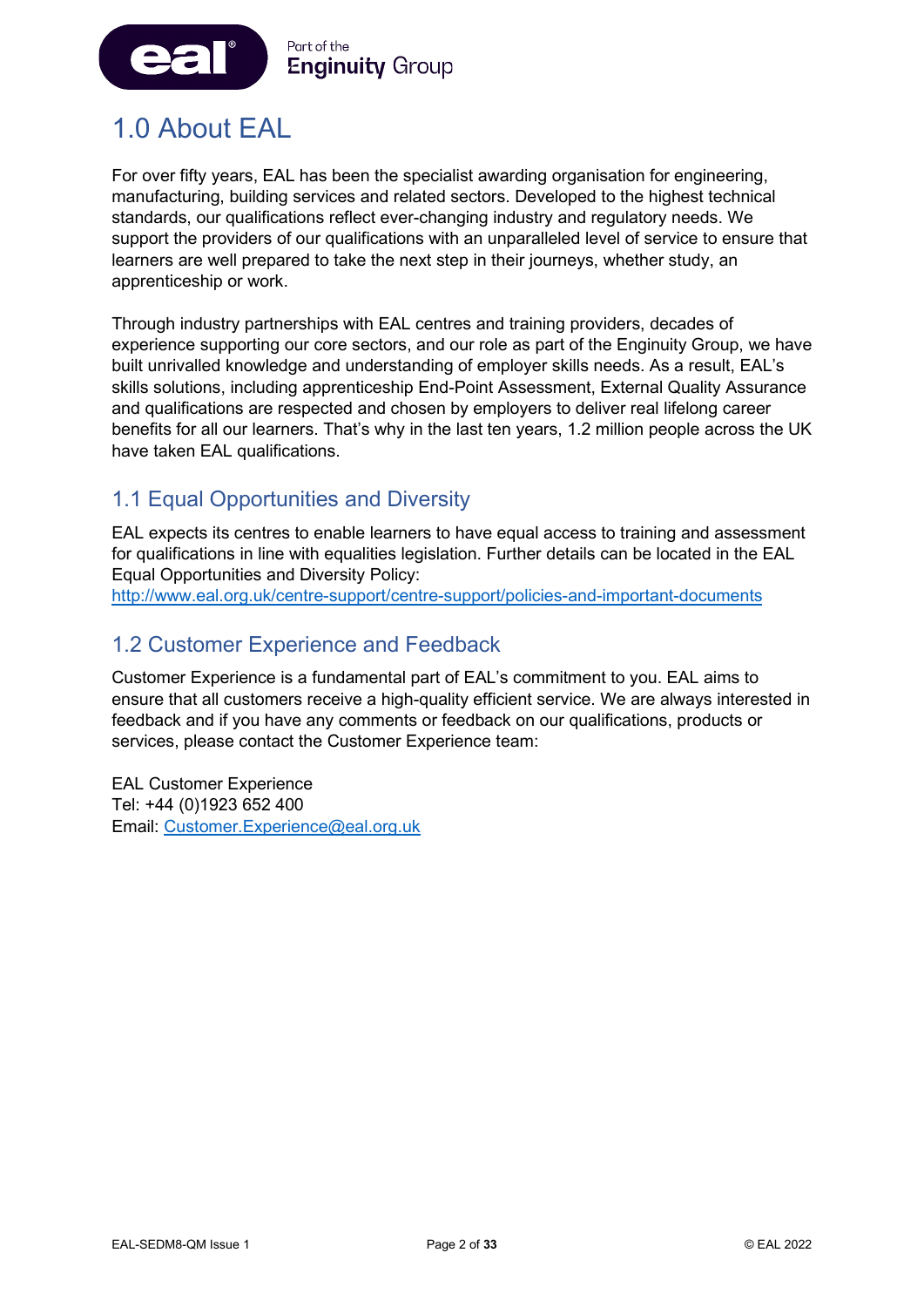

# <span id="page-2-0"></span>1.0 About EAL

For over fifty years, EAL has been the specialist awarding organisation for engineering, manufacturing, building services and related sectors. Developed to the highest technical standards, our qualifications reflect ever-changing industry and regulatory needs. We support the providers of our qualifications with an unparalleled level of service to ensure that learners are well prepared to take the next step in their journeys, whether study, an apprenticeship or work.

Through industry partnerships with EAL centres and training providers, decades of experience supporting our core sectors, and our role as part of the Enginuity Group, we have built unrivalled knowledge and understanding of employer skills needs. As a result, EAL's skills solutions, including apprenticeship End-Point Assessment, External Quality Assurance and qualifications are respected and chosen by employers to deliver real lifelong career benefits for all our learners. That's why in the last ten years, 1.2 million people across the UK have taken EAL qualifications.

### 1.1 Equal Opportunities and Diversity

EAL expects its centres to enable learners to have equal access to training and assessment for qualifications in line with equalities legislation. Further details can be located in the EAL Equal Opportunities and Diversity Policy:

<http://www.eal.org.uk/centre-support/centre-support/policies-and-important-documents>

### 1.2 Customer Experience and Feedback

Customer Experience is a fundamental part of EAL's commitment to you. EAL aims to ensure that all customers receive a high-quality efficient service. We are always interested in feedback and if you have any comments or feedback on our qualifications, products or services, please contact the Customer Experience team:

EAL Customer Experience Tel: +44 (0)1923 652 400 Email: [Customer.Experience@eal.org.uk](mailto:EAL%20Customer%20Experience%20%3cCustomer.Experience@eal.org.uk%3e)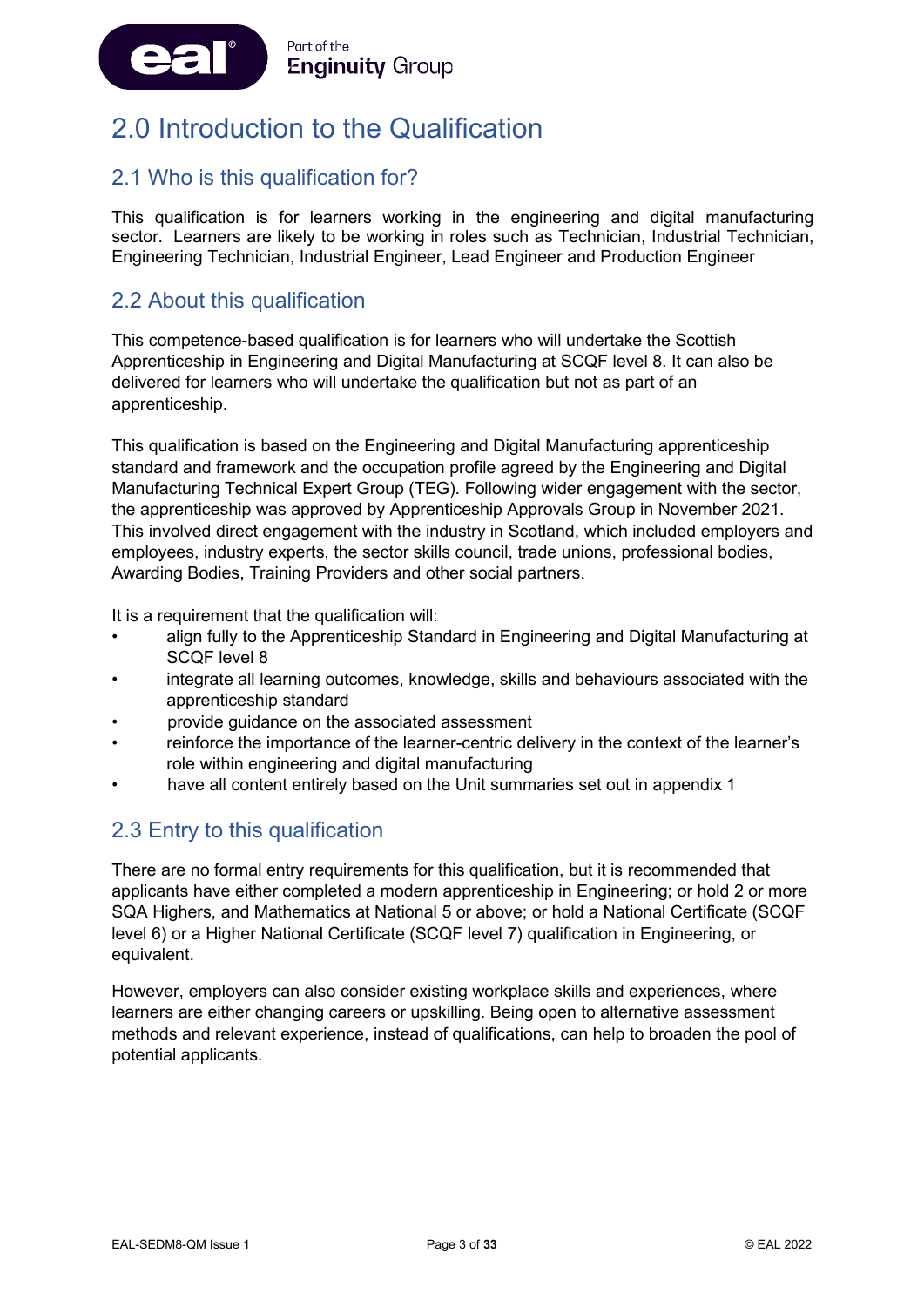

# <span id="page-3-0"></span>2.0 Introduction to the Qualification

### 2.1 Who is this qualification for?

This qualification is for learners working in the engineering and digital manufacturing sector. Learners are likely to be working in roles such as Technician, Industrial Technician, Engineering Technician, Industrial Engineer, Lead Engineer and Production Engineer

### 2.2 About this qualification

This competence-based qualification is for learners who will undertake the Scottish Apprenticeship in Engineering and Digital Manufacturing at SCQF level 8. It can also be delivered for learners who will undertake the qualification but not as part of an apprenticeship.

This qualification is based on the Engineering and Digital Manufacturing apprenticeship standard and framework and the occupation profile agreed by the Engineering and Digital Manufacturing Technical Expert Group (TEG). Following wider engagement with the sector, the apprenticeship was approved by Apprenticeship Approvals Group in November 2021. This involved direct engagement with the industry in Scotland, which included employers and employees, industry experts, the sector skills council, trade unions, professional bodies, Awarding Bodies, Training Providers and other social partners.

It is a requirement that the qualification will:

- align fully to the Apprenticeship Standard in Engineering and Digital Manufacturing at SCQF level 8
- integrate all learning outcomes, knowledge, skills and behaviours associated with the apprenticeship standard
- provide guidance on the associated assessment
- reinforce the importance of the learner-centric delivery in the context of the learner's role within engineering and digital manufacturing
- have all content entirely based on the Unit summaries set out in appendix 1

### 2.3 Entry to this qualification

There are no formal entry requirements for this qualification, but it is recommended that applicants have either completed a modern apprenticeship in Engineering; or hold 2 or more SQA Highers, and Mathematics at National 5 or above; or hold a National Certificate (SCQF level 6) or a Higher National Certificate (SCQF level 7) qualification in Engineering, or equivalent.

However, employers can also consider existing workplace skills and experiences, where learners are either changing careers or upskilling. Being open to alternative assessment methods and relevant experience, instead of qualifications, can help to broaden the pool of potential applicants.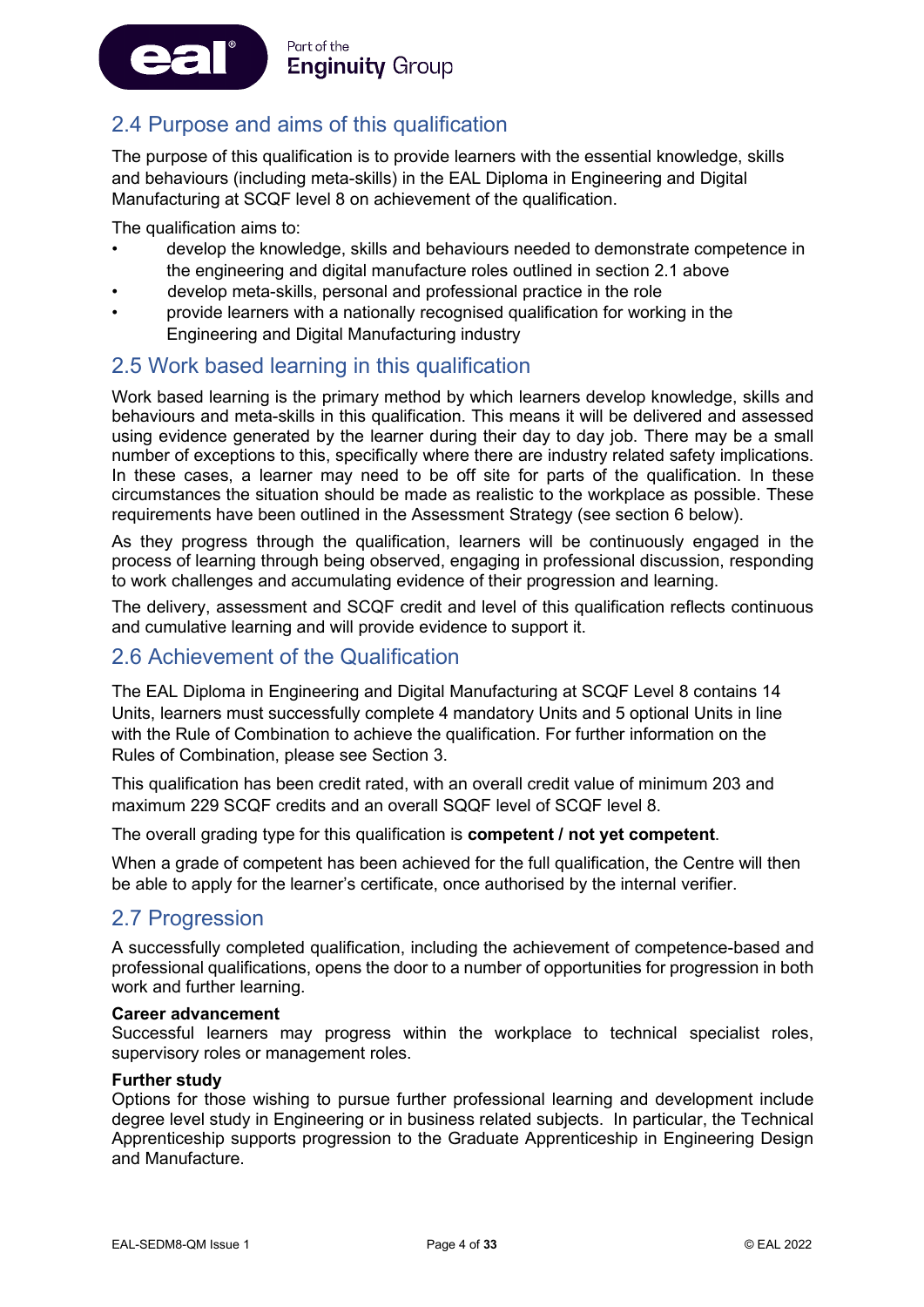#### Part of the ea **Enginuity Group**

### 2.4 Purpose and aims of this qualification

The purpose of this qualification is to provide learners with the essential knowledge, skills and behaviours (including meta-skills) in the EAL Diploma in Engineering and Digital Manufacturing at SCQF level 8 on achievement of the qualification.

The qualification aims to:

- develop the knowledge, skills and behaviours needed to demonstrate competence in the engineering and digital manufacture roles outlined in section 2.1 above
- develop meta-skills, personal and professional practice in the role
- provide learners with a nationally recognised qualification for working in the Engineering and Digital Manufacturing industry

### 2.5 Work based learning in this qualification

Work based learning is the primary method by which learners develop knowledge, skills and behaviours and meta-skills in this qualification. This means it will be delivered and assessed using evidence generated by the learner during their day to day job. There may be a small number of exceptions to this, specifically where there are industry related safety implications. In these cases, a learner may need to be off site for parts of the qualification. In these circumstances the situation should be made as realistic to the workplace as possible. These requirements have been outlined in the Assessment Strategy (see section 6 below).

As they progress through the qualification, learners will be continuously engaged in the process of learning through being observed, engaging in professional discussion, responding to work challenges and accumulating evidence of their progression and learning.

The delivery, assessment and SCQF credit and level of this qualification reflects continuous and cumulative learning and will provide evidence to support it.

### 2.6 Achievement of the Qualification

The EAL Diploma in Engineering and Digital Manufacturing at SCQF Level 8 contains 14 Units, learners must successfully complete 4 mandatory Units and 5 optional Units in line with the Rule of Combination to achieve the qualification. For further information on the Rules of Combination, please see Section 3.

This qualification has been credit rated, with an overall credit value of minimum 203 and maximum 229 SCQF credits and an overall SQQF level of SCQF level 8.

The overall grading type for this qualification is **competent / not yet competent**.

When a grade of competent has been achieved for the full qualification, the Centre will then be able to apply for the learner's certificate, once authorised by the internal verifier.

### 2.7 Progression

A successfully completed qualification, including the achievement of competence-based and professional qualifications, opens the door to a number of opportunities for progression in both work and further learning.

#### **Career advancement**

Successful learners may progress within the workplace to technical specialist roles, supervisory roles or management roles.

#### **Further study**

Options for those wishing to pursue further professional learning and development include degree level study in Engineering or in business related subjects. In particular, the Technical Apprenticeship supports progression to the Graduate Apprenticeship in Engineering Design and Manufacture.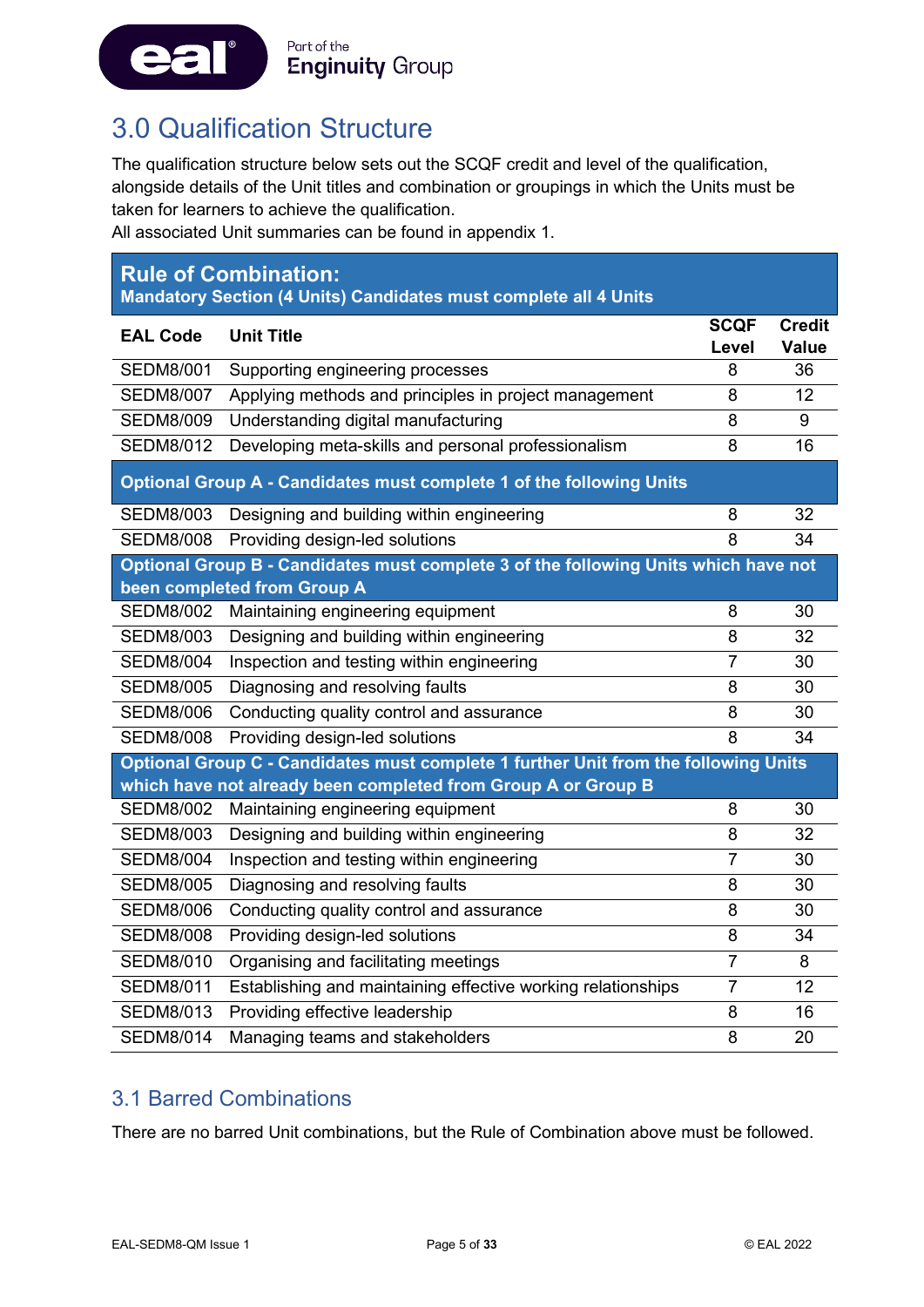

### <span id="page-5-0"></span>3.0 Qualification Structure

The qualification structure below sets out the SCQF credit and level of the qualification, alongside details of the Unit titles and combination or groupings in which the Units must be taken for learners to achieve the qualification.

All associated Unit summaries can be found in appendix 1.

| <b>Rule of Combination:</b><br>Mandatory Section (4 Units) Candidates must complete all 4 Units |                                                                                                                                                      |                |                    |
|-------------------------------------------------------------------------------------------------|------------------------------------------------------------------------------------------------------------------------------------------------------|----------------|--------------------|
| <b>EAL Code</b>                                                                                 | <b>Unit Title</b>                                                                                                                                    | <b>SCQF</b>    | <b>Credit</b>      |
| <b>SEDM8/001</b>                                                                                | Supporting engineering processes                                                                                                                     | Level<br>8     | <b>Value</b><br>36 |
| <b>SEDM8/007</b>                                                                                | Applying methods and principles in project management                                                                                                | 8              | 12                 |
| <b>SEDM8/009</b>                                                                                | Understanding digital manufacturing                                                                                                                  | 8              | 9                  |
| <b>SEDM8/012</b>                                                                                | Developing meta-skills and personal professionalism                                                                                                  | 8              | 16                 |
|                                                                                                 | Optional Group A - Candidates must complete 1 of the following Units                                                                                 |                |                    |
| <b>SEDM8/003</b>                                                                                | Designing and building within engineering                                                                                                            | 8              | 32                 |
| <b>SEDM8/008</b>                                                                                | Providing design-led solutions                                                                                                                       | 8              | 34                 |
|                                                                                                 | Optional Group B - Candidates must complete 3 of the following Units which have not<br>been completed from Group A                                   |                |                    |
| <b>SEDM8/002</b>                                                                                | Maintaining engineering equipment                                                                                                                    | 8              | 30                 |
| <b>SEDM8/003</b>                                                                                | Designing and building within engineering                                                                                                            | 8              | 32                 |
| <b>SEDM8/004</b>                                                                                | Inspection and testing within engineering                                                                                                            | $\overline{7}$ | 30                 |
| <b>SEDM8/005</b>                                                                                | Diagnosing and resolving faults                                                                                                                      | 8              | 30                 |
| <b>SEDM8/006</b>                                                                                | Conducting quality control and assurance                                                                                                             | 8              | 30                 |
| <b>SEDM8/008</b>                                                                                | Providing design-led solutions                                                                                                                       | 8              | 34                 |
|                                                                                                 | Optional Group C - Candidates must complete 1 further Unit from the following Units<br>which have not already been completed from Group A or Group B |                |                    |
| <b>SEDM8/002</b>                                                                                | Maintaining engineering equipment                                                                                                                    | 8              | 30                 |
| <b>SEDM8/003</b>                                                                                | Designing and building within engineering                                                                                                            | 8              | 32                 |
| <b>SEDM8/004</b>                                                                                | Inspection and testing within engineering                                                                                                            | $\overline{7}$ | 30                 |
| <b>SEDM8/005</b>                                                                                | Diagnosing and resolving faults                                                                                                                      | 8              | 30                 |
| <b>SEDM8/006</b>                                                                                | Conducting quality control and assurance                                                                                                             | 8              | 30                 |
| <b>SEDM8/008</b>                                                                                | Providing design-led solutions                                                                                                                       | 8              | 34                 |
| <b>SEDM8/010</b>                                                                                | Organising and facilitating meetings                                                                                                                 | $\overline{7}$ | 8                  |
| <b>SEDM8/011</b>                                                                                | Establishing and maintaining effective working relationships                                                                                         | 7              | 12                 |
| <b>SEDM8/013</b>                                                                                | Providing effective leadership                                                                                                                       | 8              | 16                 |
| <b>SEDM8/014</b>                                                                                | Managing teams and stakeholders                                                                                                                      | 8              | 20                 |

### 3.1 Barred Combinations

There are no barred Unit combinations, but the Rule of Combination above must be followed.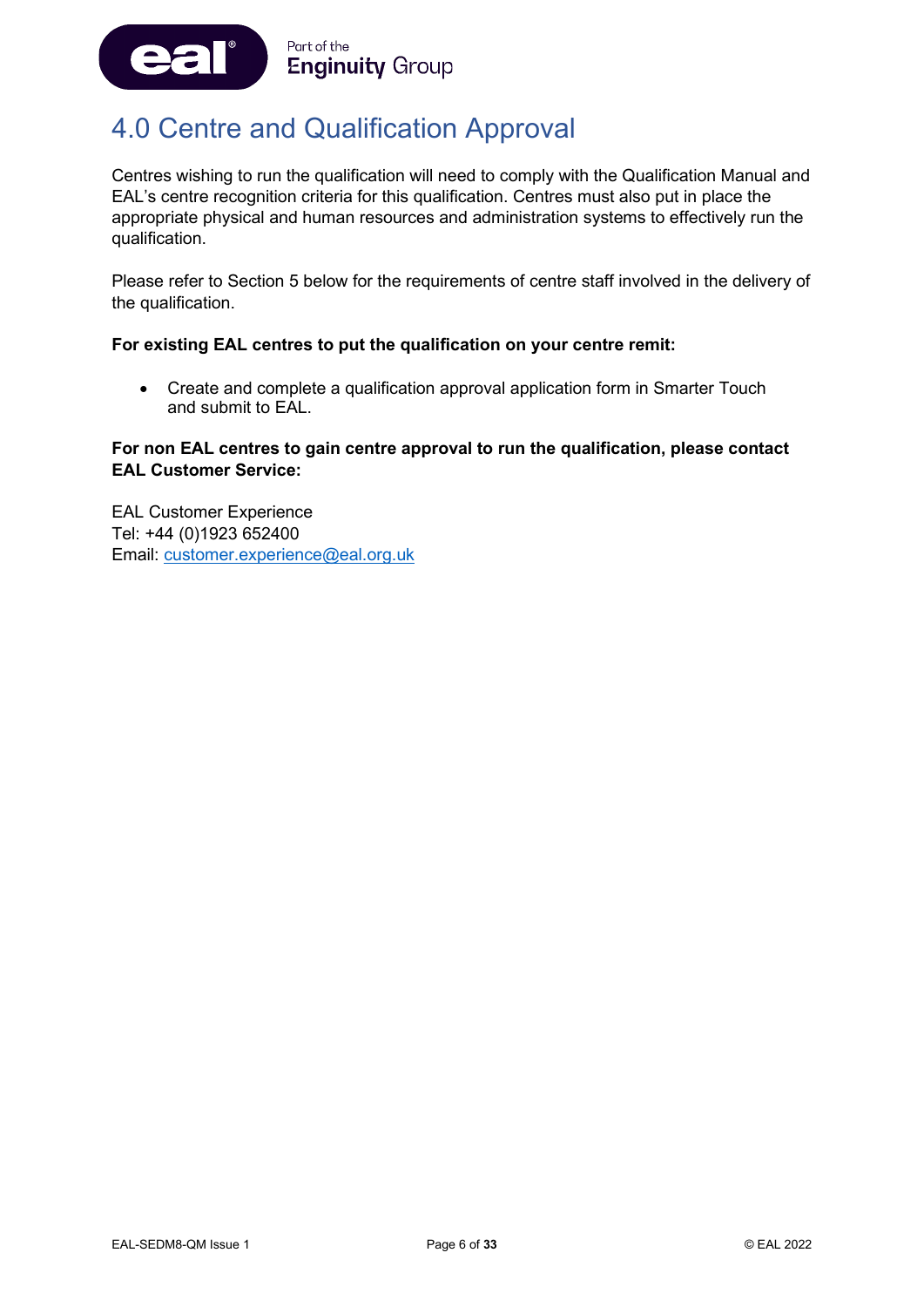

### <span id="page-6-0"></span>4.0 Centre and Qualification Approval

Centres wishing to run the qualification will need to comply with the Qualification Manual and EAL's centre recognition criteria for this qualification. Centres must also put in place the appropriate physical and human resources and administration systems to effectively run the qualification.

Please refer to Section 5 below for the requirements of centre staff involved in the delivery of the qualification.

#### **For existing EAL centres to put the qualification on your centre remit:**

• Create and complete a qualification approval application form in Smarter Touch and submit to EAL.

#### **For non EAL centres to gain centre approval to run the qualification, please contact EAL Customer Service:**

EAL Customer Experience Tel: +44 (0)1923 652400 Email: [customer.experience@eal.org.uk](mailto:customer.experience@eal.org.uk)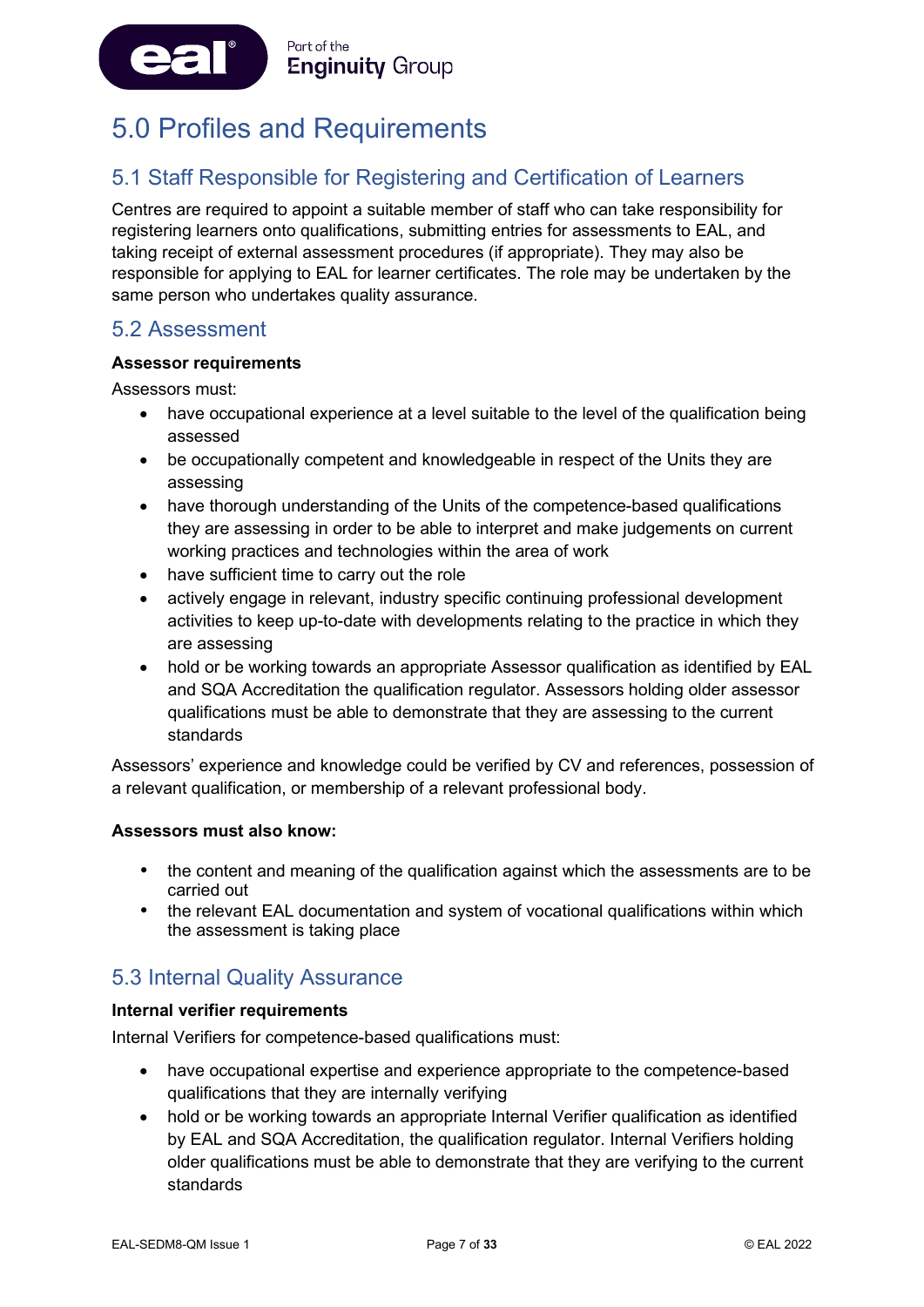

# <span id="page-7-0"></span>5.0 Profiles and Requirements

### 5.1 Staff Responsible for Registering and Certification of Learners

Centres are required to appoint a suitable member of staff who can take responsibility for registering learners onto qualifications, submitting entries for assessments to EAL, and taking receipt of external assessment procedures (if appropriate). They may also be responsible for applying to EAL for learner certificates. The role may be undertaken by the same person who undertakes quality assurance.

### 5.2 Assessment

#### **Assessor requirements**

Assessors must:

- have occupational experience at a level suitable to the level of the qualification being assessed
- be occupationally competent and knowledgeable in respect of the Units they are assessing
- have thorough understanding of the Units of the competence-based qualifications they are assessing in order to be able to interpret and make judgements on current working practices and technologies within the area of work
- have sufficient time to carry out the role
- actively engage in relevant, industry specific continuing professional development activities to keep up-to-date with developments relating to the practice in which they are assessing
- hold or be working towards an appropriate Assessor qualification as identified by EAL and SQA Accreditation the qualification regulator. Assessors holding older assessor qualifications must be able to demonstrate that they are assessing to the current standards

Assessors' experience and knowledge could be verified by CV and references, possession of a relevant qualification, or membership of a relevant professional body.

#### **Assessors must also know:**

- the content and meaning of the qualification against which the assessments are to be carried out
- the relevant EAL documentation and system of vocational qualifications within which the assessment is taking place

### 5.3 Internal Quality Assurance

#### **Internal verifier requirements**

Internal Verifiers for competence-based qualifications must:

- have occupational expertise and experience appropriate to the competence-based qualifications that they are internally verifying
- hold or be working towards an appropriate Internal Verifier qualification as identified by EAL and SQA Accreditation, the qualification regulator. Internal Verifiers holding older qualifications must be able to demonstrate that they are verifying to the current standards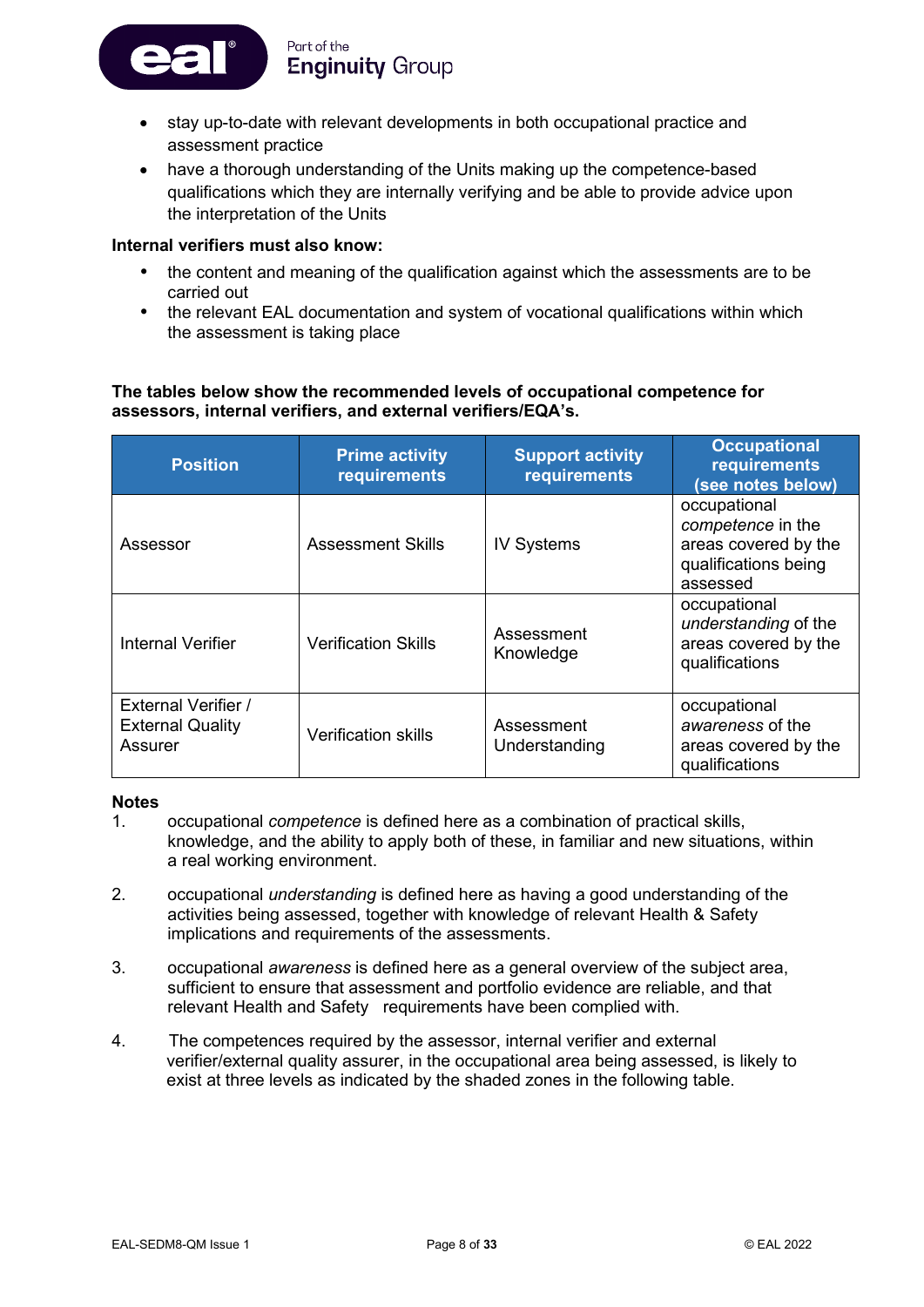Part of the **Enginuity Group** 

- stay up-to-date with relevant developments in both occupational practice and assessment practice
- have a thorough understanding of the Units making up the competence-based qualifications which they are internally verifying and be able to provide advice upon the interpretation of the Units

#### **Internal verifiers must also know:**

- the content and meaning of the qualification against which the assessments are to be carried out
- the relevant EAL documentation and system of vocational qualifications within which the assessment is taking place

#### **The tables below show the recommended levels of occupational competence for assessors, internal verifiers, and external verifiers/EQA's.**

| <b>Position</b>                                                  | <b>Prime activity</b><br>requirements | <b>Support activity</b><br><b>requirements</b> | <b>Occupational</b><br>requirements<br>(see notes below)                                      |
|------------------------------------------------------------------|---------------------------------------|------------------------------------------------|-----------------------------------------------------------------------------------------------|
| Assessor                                                         | <b>Assessment Skills</b>              | <b>IV Systems</b>                              | occupational<br>competence in the<br>areas covered by the<br>qualifications being<br>assessed |
| Internal Verifier                                                | <b>Verification Skills</b>            | Assessment<br>Knowledge                        | occupational<br>understanding of the<br>areas covered by the<br>qualifications                |
| <b>External Verifier /</b><br><b>External Quality</b><br>Assurer | <b>Verification skills</b>            | Assessment<br>Understanding                    | occupational<br>awareness of the<br>areas covered by the<br>qualifications                    |

#### **Notes**

- 1. occupational *competence* is defined here as a combination of practical skills, knowledge, and the ability to apply both of these, in familiar and new situations, within a real working environment.
- 2. occupational *understanding* is defined here as having a good understanding of the activities being assessed, together with knowledge of relevant Health & Safety implications and requirements of the assessments.
- 3. occupational *awareness* is defined here as a general overview of the subject area, sufficient to ensure that assessment and portfolio evidence are reliable, and that relevant Health and Safety requirements have been complied with.
- 4. The competences required by the assessor, internal verifier and external verifier/external quality assurer, in the occupational area being assessed, is likely to exist at three levels as indicated by the shaded zones in the following table.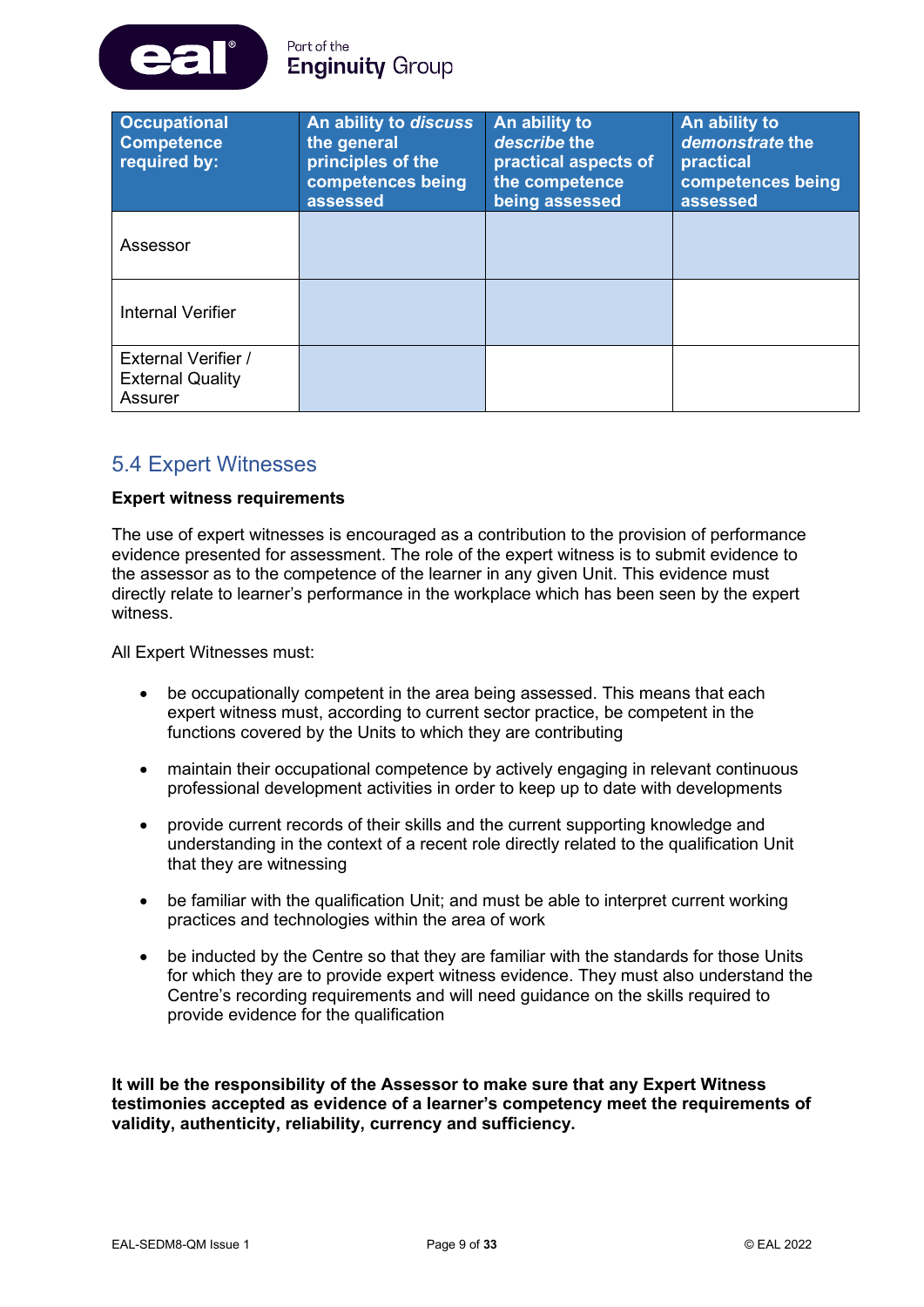

| <b>Occupational</b><br><b>Competence</b><br>required by:         | An ability to discuss<br>the general<br>principles of the<br>competences being<br>assessed | An ability to<br>describe the<br>practical aspects of<br>the competence<br>being assessed | An ability to<br>demonstrate the<br>practical<br>competences being<br>assessed |
|------------------------------------------------------------------|--------------------------------------------------------------------------------------------|-------------------------------------------------------------------------------------------|--------------------------------------------------------------------------------|
| Assessor                                                         |                                                                                            |                                                                                           |                                                                                |
| <b>Internal Verifier</b>                                         |                                                                                            |                                                                                           |                                                                                |
| <b>External Verifier /</b><br><b>External Quality</b><br>Assurer |                                                                                            |                                                                                           |                                                                                |

### 5.4 Expert Witnesses

#### **Expert witness requirements**

The use of expert witnesses is encouraged as a contribution to the provision of performance evidence presented for assessment. The role of the expert witness is to submit evidence to the assessor as to the competence of the learner in any given Unit. This evidence must directly relate to learner's performance in the workplace which has been seen by the expert witness.

All Expert Witnesses must:

- be occupationally competent in the area being assessed. This means that each expert witness must, according to current sector practice, be competent in the functions covered by the Units to which they are contributing
- maintain their occupational competence by actively engaging in relevant continuous professional development activities in order to keep up to date with developments
- provide current records of their skills and the current supporting knowledge and understanding in the context of a recent role directly related to the qualification Unit that they are witnessing
- be familiar with the qualification Unit; and must be able to interpret current working practices and technologies within the area of work
- be inducted by the Centre so that they are familiar with the standards for those Units for which they are to provide expert witness evidence. They must also understand the Centre's recording requirements and will need guidance on the skills required to provide evidence for the qualification

**It will be the responsibility of the Assessor to make sure that any Expert Witness testimonies accepted as evidence of a learner's competency meet the requirements of validity, authenticity, reliability, currency and sufficiency.**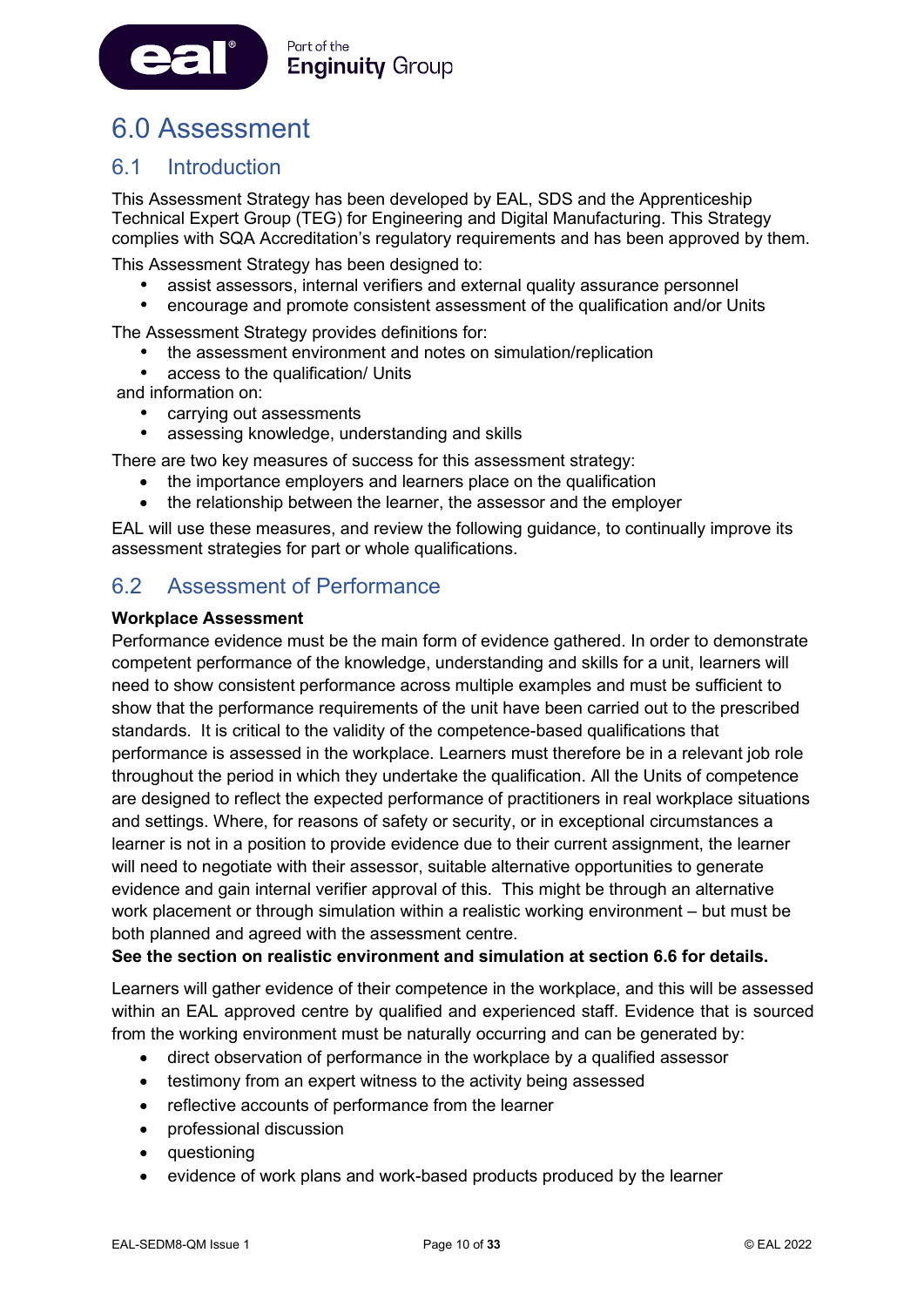

# <span id="page-10-0"></span>6.0 Assessment

### 6.1 Introduction

This Assessment Strategy has been developed by EAL, SDS and the Apprenticeship Technical Expert Group (TEG) for Engineering and Digital Manufacturing. This Strategy complies with SQA Accreditation's regulatory requirements and has been approved by them.

This Assessment Strategy has been designed to:

- assist assessors, internal verifiers and external quality assurance personnel
- encourage and promote consistent assessment of the qualification and/or Units

The Assessment Strategy provides definitions for:

- the assessment environment and notes on simulation/replication
- access to the qualification/ Units

and information on:

- carrying out assessments
- assessing knowledge, understanding and skills

There are two key measures of success for this assessment strategy:

- the importance employers and learners place on the qualification
- the relationship between the learner, the assessor and the employer

EAL will use these measures, and review the following guidance, to continually improve its assessment strategies for part or whole qualifications.

### 6.2 Assessment of Performance

#### **Workplace Assessment**

Performance evidence must be the main form of evidence gathered. In order to demonstrate competent performance of the knowledge, understanding and skills for a unit, learners will need to show consistent performance across multiple examples and must be sufficient to show that the performance requirements of the unit have been carried out to the prescribed standards. It is critical to the validity of the competence-based qualifications that performance is assessed in the workplace. Learners must therefore be in a relevant job role throughout the period in which they undertake the qualification. All the Units of competence are designed to reflect the expected performance of practitioners in real workplace situations and settings. Where, for reasons of safety or security, or in exceptional circumstances a learner is not in a position to provide evidence due to their current assignment, the learner will need to negotiate with their assessor, suitable alternative opportunities to generate evidence and gain internal verifier approval of this. This might be through an alternative work placement or through simulation within a realistic working environment – but must be both planned and agreed with the assessment centre.

#### **See the section on realistic environment and simulation at section 6.6 for details.**

Learners will gather evidence of their competence in the workplace, and this will be assessed within an EAL approved centre by qualified and experienced staff. Evidence that is sourced from the working environment must be naturally occurring and can be generated by:

- direct observation of performance in the workplace by a qualified assessor
- testimony from an expert witness to the activity being assessed
- reflective accounts of performance from the learner
- professional discussion
- questioning
- evidence of work plans and work-based products produced by the learner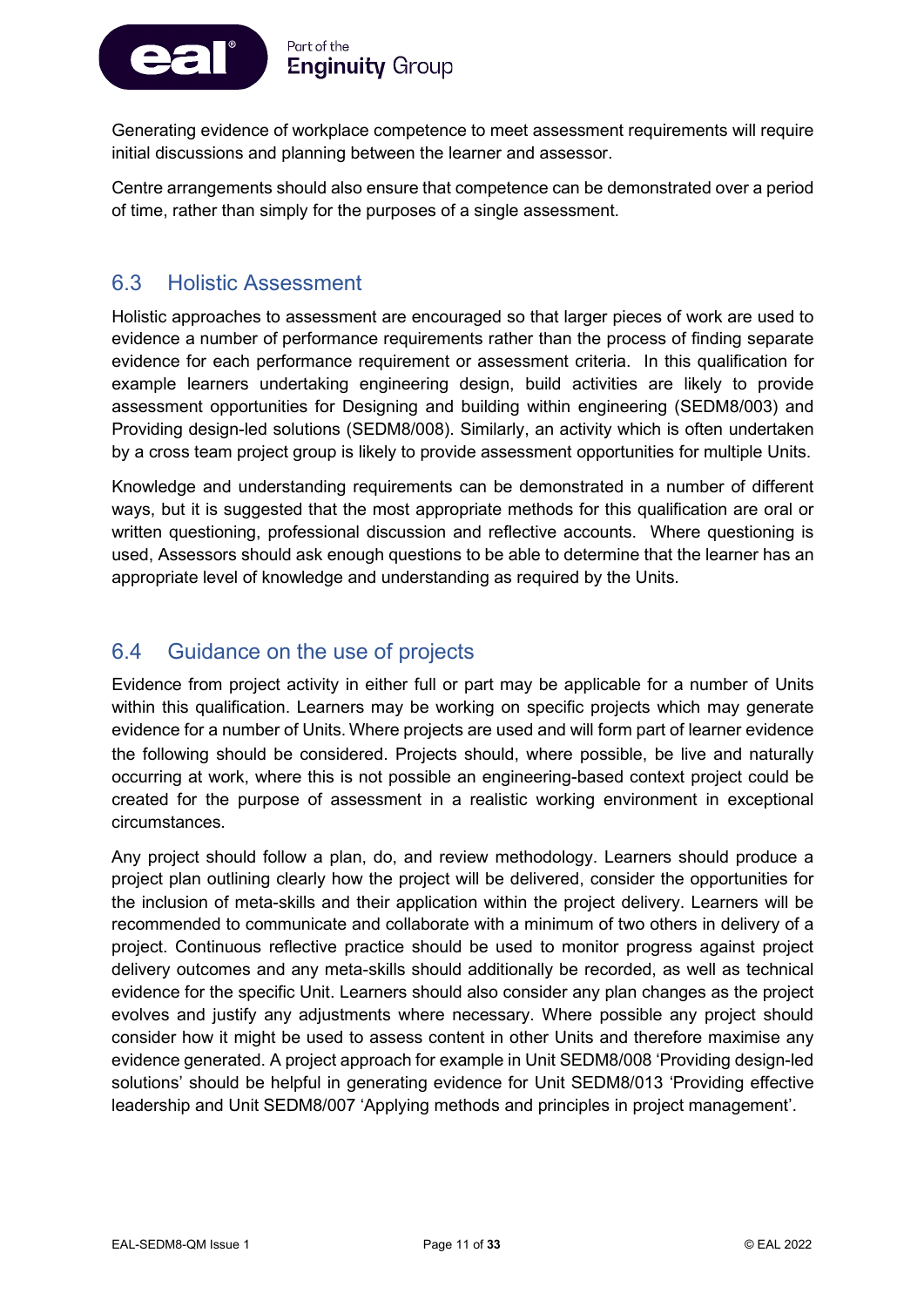

Generating evidence of workplace competence to meet assessment requirements will require initial discussions and planning between the learner and assessor.

Centre arrangements should also ensure that competence can be demonstrated over a period of time, rather than simply for the purposes of a single assessment.

### 6.3 Holistic Assessment

Holistic approaches to assessment are encouraged so that larger pieces of work are used to evidence a number of performance requirements rather than the process of finding separate evidence for each performance requirement or assessment criteria. In this qualification for example learners undertaking engineering design, build activities are likely to provide assessment opportunities for Designing and building within engineering (SEDM8/003) and Providing design-led solutions (SEDM8/008). Similarly, an activity which is often undertaken by a cross team project group is likely to provide assessment opportunities for multiple Units.

Knowledge and understanding requirements can be demonstrated in a number of different ways, but it is suggested that the most appropriate methods for this qualification are oral or written questioning, professional discussion and reflective accounts. Where questioning is used, Assessors should ask enough questions to be able to determine that the learner has an appropriate level of knowledge and understanding as required by the Units.

### 6.4 Guidance on the use of projects

Evidence from project activity in either full or part may be applicable for a number of Units within this qualification. Learners may be working on specific projects which may generate evidence for a number of Units. Where projects are used and will form part of learner evidence the following should be considered. Projects should, where possible, be live and naturally occurring at work, where this is not possible an engineering-based context project could be created for the purpose of assessment in a realistic working environment in exceptional circumstances.

Any project should follow a plan, do, and review methodology. Learners should produce a project plan outlining clearly how the project will be delivered, consider the opportunities for the inclusion of meta-skills and their application within the project delivery. Learners will be recommended to communicate and collaborate with a minimum of two others in delivery of a project. Continuous reflective practice should be used to monitor progress against project delivery outcomes and any meta-skills should additionally be recorded, as well as technical evidence for the specific Unit. Learners should also consider any plan changes as the project evolves and justify any adjustments where necessary. Where possible any project should consider how it might be used to assess content in other Units and therefore maximise any evidence generated. A project approach for example in Unit SEDM8/008 'Providing design-led solutions' should be helpful in generating evidence for Unit SEDM8/013 'Providing effective leadership and Unit SEDM8/007 'Applying methods and principles in project management'.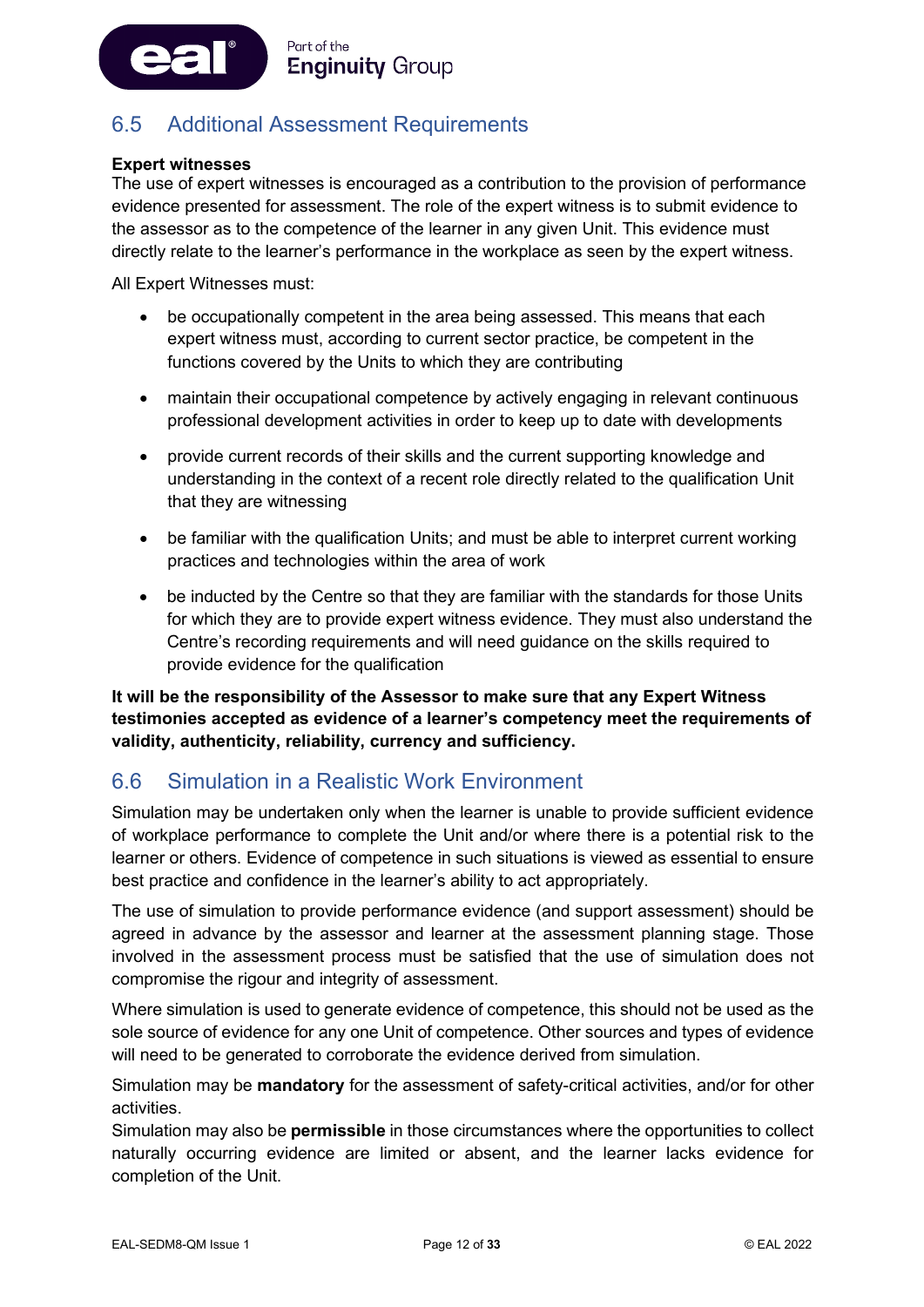

### 6.5 Additional Assessment Requirements

#### **Expert witnesses**

The use of expert witnesses is encouraged as a contribution to the provision of performance evidence presented for assessment. The role of the expert witness is to submit evidence to the assessor as to the competence of the learner in any given Unit. This evidence must directly relate to the learner's performance in the workplace as seen by the expert witness.

All Expert Witnesses must:

- be occupationally competent in the area being assessed. This means that each expert witness must, according to current sector practice, be competent in the functions covered by the Units to which they are contributing
- maintain their occupational competence by actively engaging in relevant continuous professional development activities in order to keep up to date with developments
- provide current records of their skills and the current supporting knowledge and understanding in the context of a recent role directly related to the qualification Unit that they are witnessing
- be familiar with the qualification Units; and must be able to interpret current working practices and technologies within the area of work
- be inducted by the Centre so that they are familiar with the standards for those Units for which they are to provide expert witness evidence. They must also understand the Centre's recording requirements and will need guidance on the skills required to provide evidence for the qualification

**It will be the responsibility of the Assessor to make sure that any Expert Witness testimonies accepted as evidence of a learner's competency meet the requirements of validity, authenticity, reliability, currency and sufficiency.**

### 6.6 Simulation in a Realistic Work Environment

Simulation may be undertaken only when the learner is unable to provide sufficient evidence of workplace performance to complete the Unit and/or where there is a potential risk to the learner or others. Evidence of competence in such situations is viewed as essential to ensure best practice and confidence in the learner's ability to act appropriately.

The use of simulation to provide performance evidence (and support assessment) should be agreed in advance by the assessor and learner at the assessment planning stage. Those involved in the assessment process must be satisfied that the use of simulation does not compromise the rigour and integrity of assessment.

Where simulation is used to generate evidence of competence, this should not be used as the sole source of evidence for any one Unit of competence. Other sources and types of evidence will need to be generated to corroborate the evidence derived from simulation.

Simulation may be **mandatory** for the assessment of safety-critical activities, and/or for other activities.

Simulation may also be **permissible** in those circumstances where the opportunities to collect naturally occurring evidence are limited or absent, and the learner lacks evidence for completion of the Unit.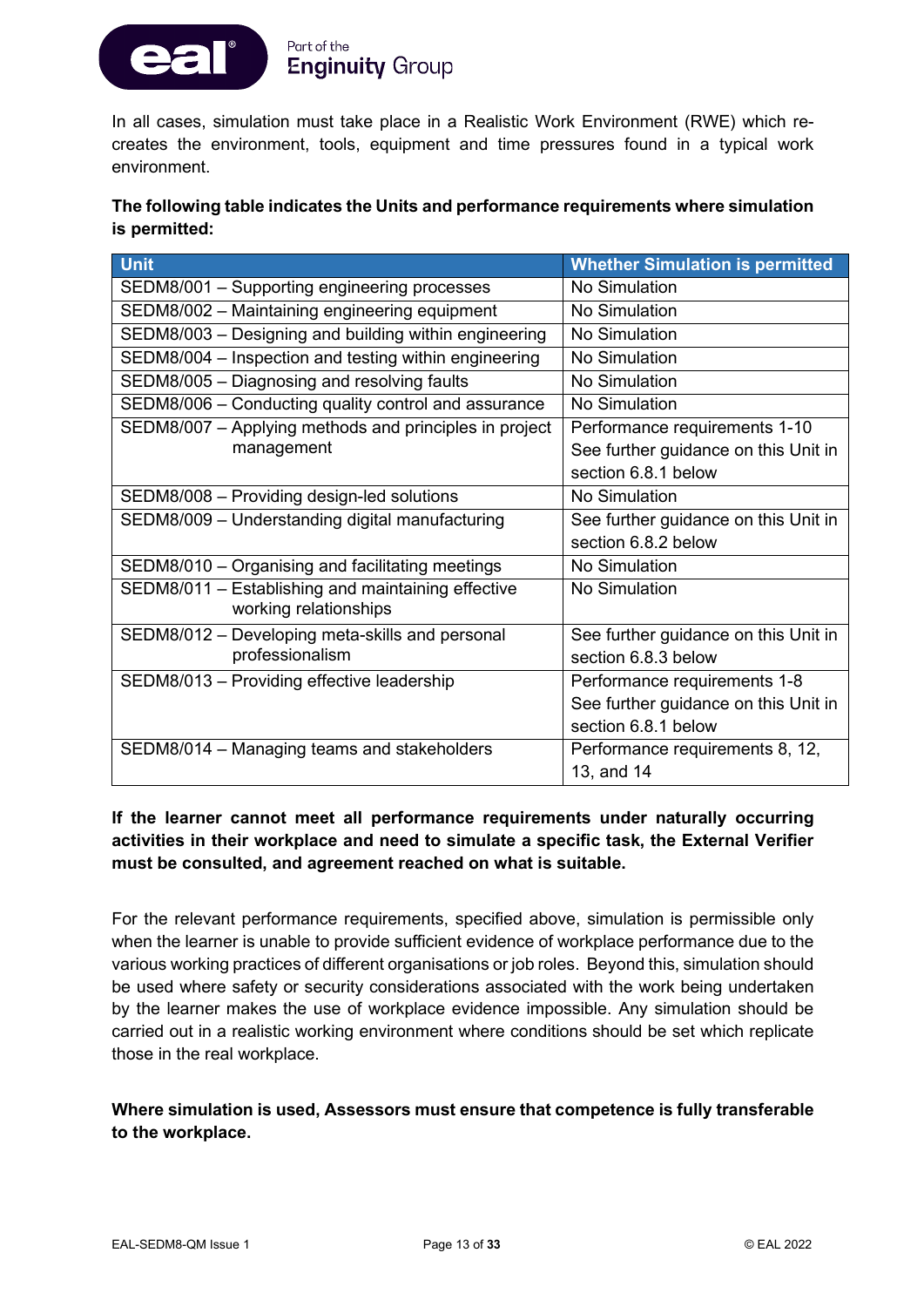

In all cases, simulation must take place in a Realistic Work Environment (RWE) which recreates the environment, tools, equipment and time pressures found in a typical work environment.

#### **The following table indicates the Units and performance requirements where simulation is permitted:**

| <b>Unit</b>                                            | <b>Whether Simulation is permitted</b> |
|--------------------------------------------------------|----------------------------------------|
| SEDM8/001 - Supporting engineering processes           | No Simulation                          |
| SEDM8/002 - Maintaining engineering equipment          | No Simulation                          |
| SEDM8/003 - Designing and building within engineering  | No Simulation                          |
| SEDM8/004 - Inspection and testing within engineering  | No Simulation                          |
| SEDM8/005 - Diagnosing and resolving faults            | No Simulation                          |
| SEDM8/006 - Conducting quality control and assurance   | No Simulation                          |
| SEDM8/007 - Applying methods and principles in project | Performance requirements 1-10          |
| management                                             | See further guidance on this Unit in   |
|                                                        | section 6.8.1 below                    |
| SEDM8/008 - Providing design-led solutions             | No Simulation                          |
| SEDM8/009 - Understanding digital manufacturing        | See further guidance on this Unit in   |
|                                                        | section 6.8.2 below                    |
| SEDM8/010 - Organising and facilitating meetings       | No Simulation                          |
| SEDM8/011 - Establishing and maintaining effective     | No Simulation                          |
| working relationships                                  |                                        |
| SEDM8/012 - Developing meta-skills and personal        | See further guidance on this Unit in   |
| professionalism                                        | section 6.8.3 below                    |
| SEDM8/013 - Providing effective leadership             | Performance requirements 1-8           |
|                                                        | See further guidance on this Unit in   |
|                                                        | section 6.8.1 below                    |
| SEDM8/014 - Managing teams and stakeholders            | Performance requirements 8, 12,        |
|                                                        | 13, and 14                             |

#### **If the learner cannot meet all performance requirements under naturally occurring activities in their workplace and need to simulate a specific task, the External Verifier must be consulted, and agreement reached on what is suitable.**

For the relevant performance requirements, specified above, simulation is permissible only when the learner is unable to provide sufficient evidence of workplace performance due to the various working practices of different organisations or job roles. Beyond this, simulation should be used where safety or security considerations associated with the work being undertaken by the learner makes the use of workplace evidence impossible. Any simulation should be carried out in a realistic working environment where conditions should be set which replicate those in the real workplace.

#### **Where simulation is used, Assessors must ensure that competence is fully transferable to the workplace.**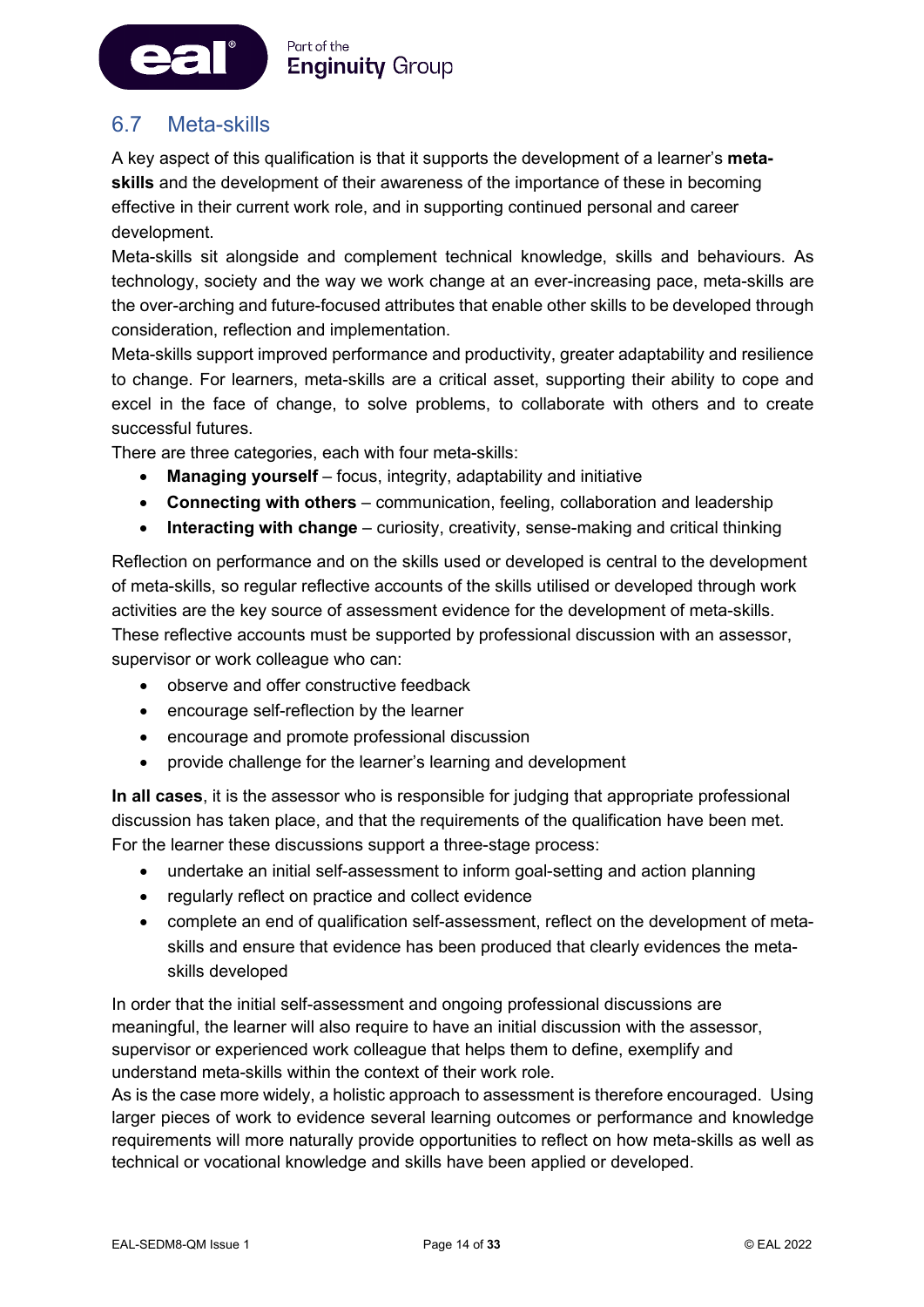

### 6.7 Meta-skills

ea

A key aspect of this qualification is that it supports the development of a learner's **metaskills** and the development of their awareness of the importance of these in becoming effective in their current work role, and in supporting continued personal and career development.

Meta-skills sit alongside and complement technical knowledge, skills and behaviours. As technology, society and the way we work change at an ever-increasing pace, meta-skills are the over-arching and future-focused attributes that enable other skills to be developed through consideration, reflection and implementation.

Meta-skills support improved performance and productivity, greater adaptability and resilience to change. For learners, meta-skills are a critical asset, supporting their ability to cope and excel in the face of change, to solve problems, to collaborate with others and to create successful futures.

There are three categories, each with four meta-skills:

- **Managing yourself** focus, integrity, adaptability and initiative
- **Connecting with others** communication, feeling, collaboration and leadership
- **Interacting with change** curiosity, creativity, sense-making and critical thinking

Reflection on performance and on the skills used or developed is central to the development of meta-skills, so regular reflective accounts of the skills utilised or developed through work activities are the key source of assessment evidence for the development of meta-skills. These reflective accounts must be supported by professional discussion with an assessor, supervisor or work colleague who can:

- observe and offer constructive feedback
- encourage self-reflection by the learner
- encourage and promote professional discussion
- provide challenge for the learner's learning and development

**In all cases**, it is the assessor who is responsible for judging that appropriate professional discussion has taken place, and that the requirements of the qualification have been met. For the learner these discussions support a three-stage process:

- undertake an initial self-assessment to inform goal-setting and action planning
- regularly reflect on practice and collect evidence
- complete an end of qualification self-assessment, reflect on the development of metaskills and ensure that evidence has been produced that clearly evidences the metaskills developed

In order that the initial self-assessment and ongoing professional discussions are meaningful, the learner will also require to have an initial discussion with the assessor, supervisor or experienced work colleague that helps them to define, exemplify and understand meta-skills within the context of their work role.

As is the case more widely, a holistic approach to assessment is therefore encouraged. Using larger pieces of work to evidence several learning outcomes or performance and knowledge requirements will more naturally provide opportunities to reflect on how meta-skills as well as technical or vocational knowledge and skills have been applied or developed.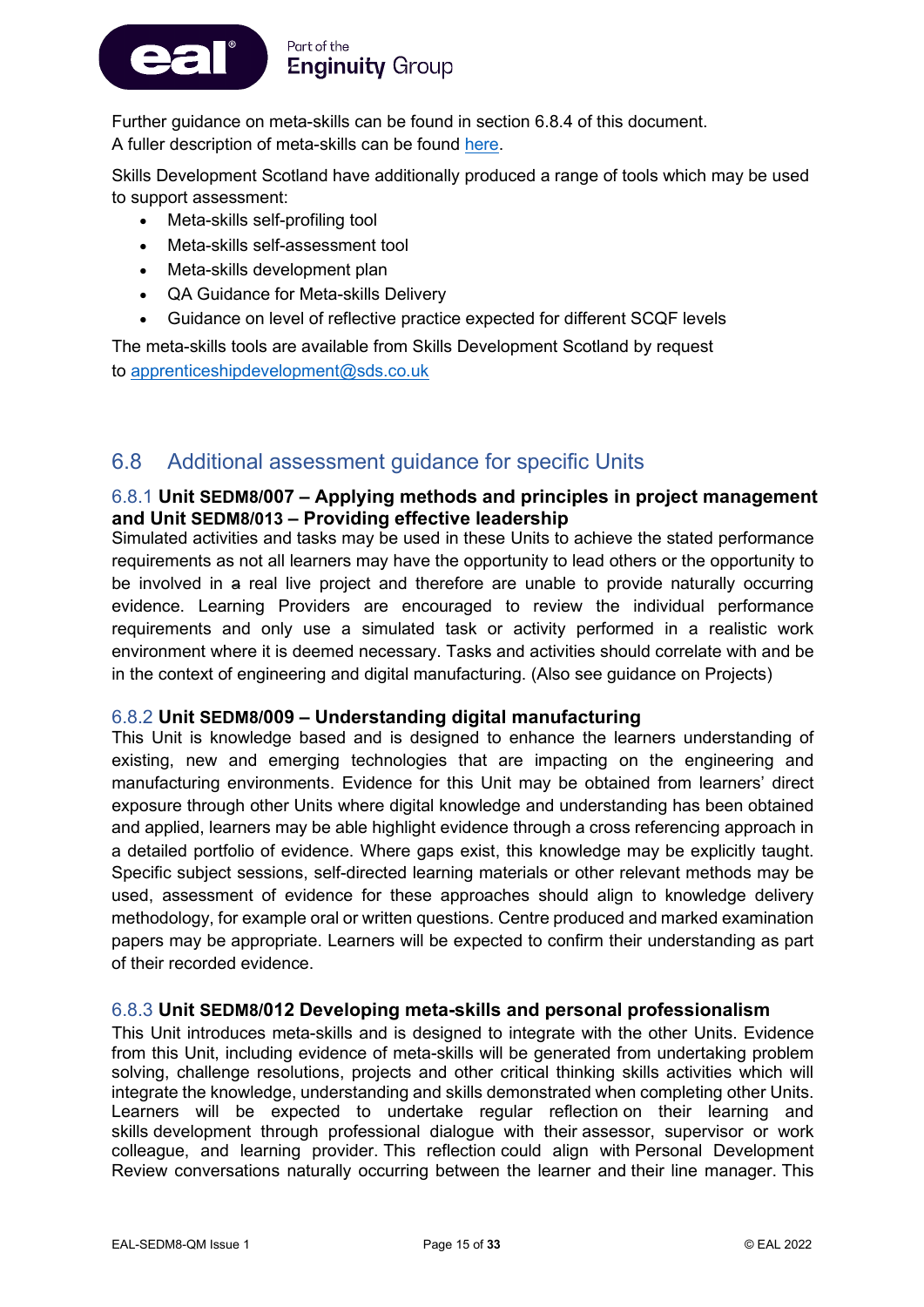

Further guidance on meta-skills can be found in section 6.8.4 of this document. A fuller description of meta-skills can be found [here.](https://www.skillsdevelopmentscotland.co.uk/media/44684/skills-40_a-skills-model.pdf)

Skills Development Scotland have additionally produced a range of tools which may be used to support assessment:

- Meta-skills self-profiling tool
- Meta-skills self-assessment tool
- Meta-skills development plan
- QA Guidance for Meta-skills Delivery
- Guidance on level of reflective practice expected for different SCQF levels

The meta-skills tools are available from Skills Development Scotland by request to [apprenticeshipdevelopment@sds.co.uk](mailto:apprenticeshipdevelopment@sds.co.uk)

### 6.8 Additional assessment guidance for specific Units

#### 6.8.1 **Unit SEDM8/007 – Applying methods and principles in project management and Unit SEDM8/013 – Providing effective leadership**

Simulated activities and tasks may be used in these Units to achieve the stated performance requirements as not all learners may have the opportunity to lead others or the opportunity to be involved in a real live project and therefore are unable to provide naturally occurring evidence. Learning Providers are encouraged to review the individual performance requirements and only use a simulated task or activity performed in a realistic work environment where it is deemed necessary. Tasks and activities should correlate with and be in the context of engineering and digital manufacturing. (Also see guidance on Projects)

#### 6.8.2 **Unit SEDM8/009 – Understanding digital manufacturing**

This Unit is knowledge based and is designed to enhance the learners understanding of existing, new and emerging technologies that are impacting on the engineering and manufacturing environments. Evidence for this Unit may be obtained from learners' direct exposure through other Units where digital knowledge and understanding has been obtained and applied, learners may be able highlight evidence through a cross referencing approach in a detailed portfolio of evidence. Where gaps exist, this knowledge may be explicitly taught. Specific subject sessions, self-directed learning materials or other relevant methods may be used, assessment of evidence for these approaches should align to knowledge delivery methodology, for example oral or written questions. Centre produced and marked examination papers may be appropriate. Learners will be expected to confirm their understanding as part of their recorded evidence.

#### 6.8.3 **Unit SEDM8/012 Developing meta-skills and personal professionalism**

This Unit introduces meta-skills and is designed to integrate with the other Units. Evidence from this Unit, including evidence of meta-skills will be generated from undertaking problem solving, challenge resolutions, projects and other critical thinking skills activities which will integrate the knowledge, understanding and skills demonstrated when completing other Units. Learners will be expected to undertake regular reflection on their learning and skills development through professional dialogue with their assessor, supervisor or work colleague, and learning provider. This reflection could align with Personal Development Review conversations naturally occurring between the learner and their line manager. This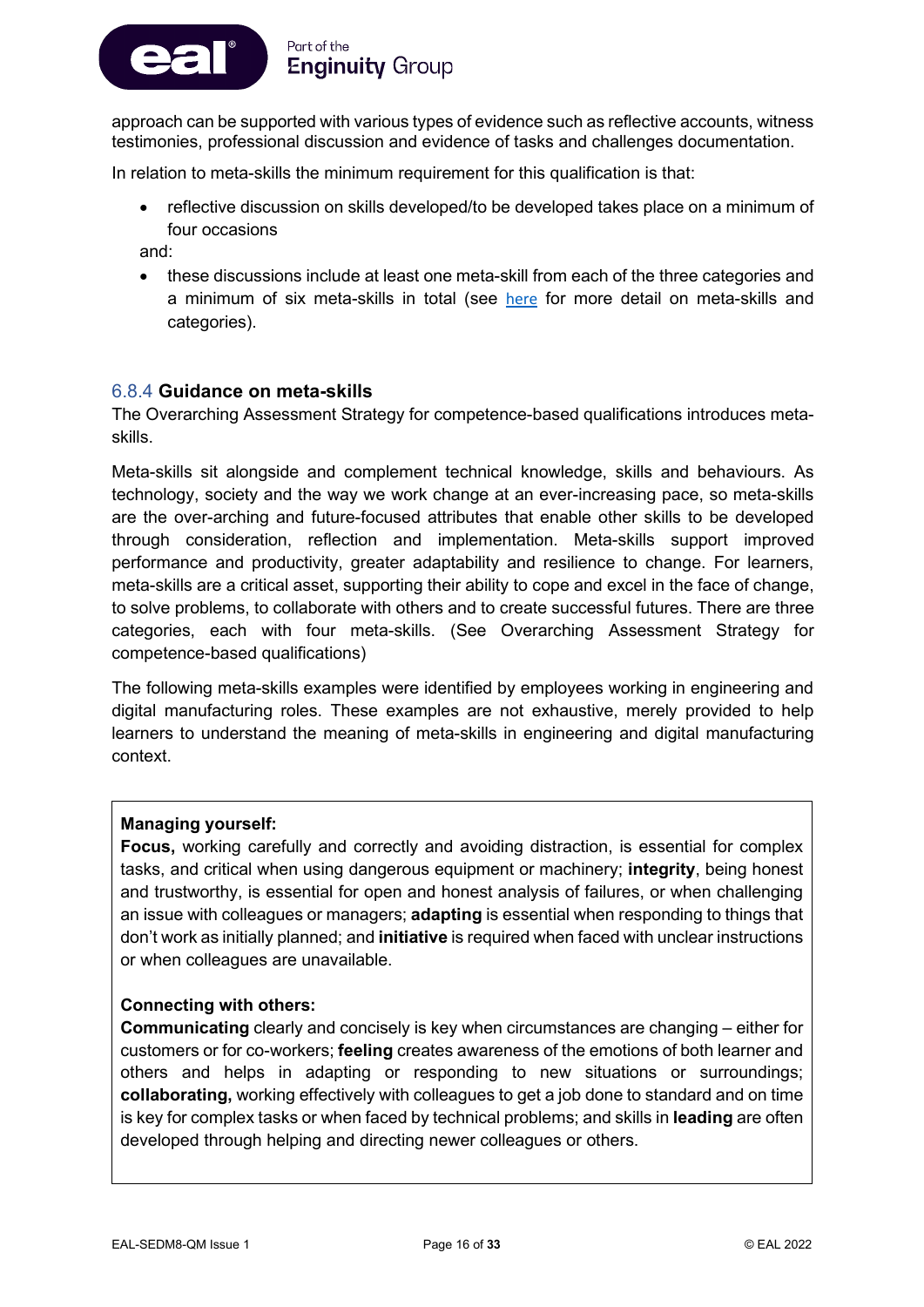

approach can be supported with various types of evidence such as reflective accounts, witness testimonies, professional discussion and evidence of tasks and challenges documentation.

In relation to meta-skills the minimum requirement for this qualification is that:

• reflective discussion on skills developed/to be developed takes place on a minimum of four occasions

and:

• these discussions include at least one meta-skill from each of the three categories and a minimum of six meta-skills in total (see [here](https://www.skillsdevelopmentscotland.co.uk/what-we-do/skills-planning/skills4-0/) for more detail on meta-skills and categories).

#### 6.8.4 **Guidance on meta-skills**

The Overarching Assessment Strategy for competence-based qualifications introduces metaskills.

Meta-skills sit alongside and complement technical knowledge, skills and behaviours. As technology, society and the way we work change at an ever-increasing pace, so meta-skills are the over-arching and future-focused attributes that enable other skills to be developed through consideration, reflection and implementation. Meta-skills support improved performance and productivity, greater adaptability and resilience to change. For learners, meta-skills are a critical asset, supporting their ability to cope and excel in the face of change, to solve problems, to collaborate with others and to create successful futures. There are three categories, each with four meta-skills. (See Overarching Assessment Strategy for competence-based qualifications)

The following meta-skills examples were identified by employees working in engineering and digital manufacturing roles. These examples are not exhaustive, merely provided to help learners to understand the meaning of meta-skills in engineering and digital manufacturing context.

#### **Managing yourself:**

**Focus,** working carefully and correctly and avoiding distraction, is essential for complex tasks, and critical when using dangerous equipment or machinery; **integrity**, being honest and trustworthy, is essential for open and honest analysis of failures, or when challenging an issue with colleagues or managers; **adapting** is essential when responding to things that don't work as initially planned; and **initiative** is required when faced with unclear instructions or when colleagues are unavailable.

#### **Connecting with others:**

**Communicating** clearly and concisely is key when circumstances are changing – either for customers or for co-workers; **feeling** creates awareness of the emotions of both learner and others and helps in adapting or responding to new situations or surroundings; **collaborating,** working effectively with colleagues to get a job done to standard and on time is key for complex tasks or when faced by technical problems; and skills in **leading** are often developed through helping and directing newer colleagues or others.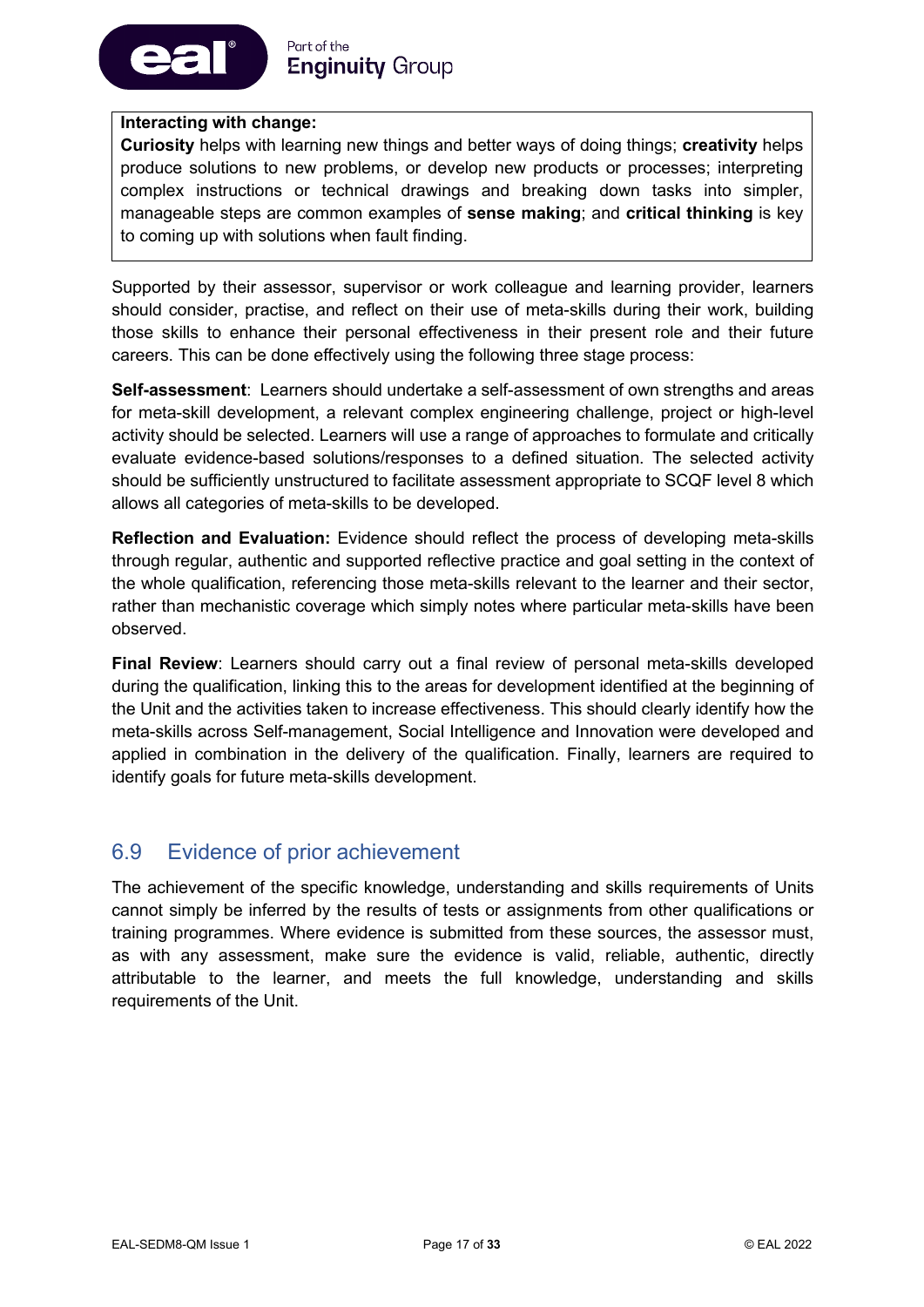

#### **Interacting with change:**

**Curiosity** helps with learning new things and better ways of doing things; **creativity** helps produce solutions to new problems, or develop new products or processes; interpreting complex instructions or technical drawings and breaking down tasks into simpler, manageable steps are common examples of **sense making**; and **critical thinking** is key to coming up with solutions when fault finding.

Supported by their assessor, supervisor or work colleague and learning provider, learners should consider, practise, and reflect on their use of meta-skills during their work, building those skills to enhance their personal effectiveness in their present role and their future careers. This can be done effectively using the following three stage process:

**Self-assessment**: Learners should undertake a self-assessment of own strengths and areas for meta-skill development, a relevant complex engineering challenge, project or high-level activity should be selected. Learners will use a range of approaches to formulate and critically evaluate evidence-based solutions/responses to a defined situation. The selected activity should be sufficiently unstructured to facilitate assessment appropriate to SCQF level 8 which allows all categories of meta-skills to be developed.

**Reflection and Evaluation:** Evidence should reflect the process of developing meta-skills through regular, authentic and supported reflective practice and goal setting in the context of the whole qualification, referencing those meta-skills relevant to the learner and their sector, rather than mechanistic coverage which simply notes where particular meta-skills have been observed.

**Final Review**: Learners should carry out a final review of personal meta-skills developed during the qualification, linking this to the areas for development identified at the beginning of the Unit and the activities taken to increase effectiveness. This should clearly identify how the meta-skills across Self-management, Social Intelligence and Innovation were developed and applied in combination in the delivery of the qualification. Finally, learners are required to identify goals for future meta-skills development.

### 6.9 Evidence of prior achievement

The achievement of the specific knowledge, understanding and skills requirements of Units cannot simply be inferred by the results of tests or assignments from other qualifications or training programmes. Where evidence is submitted from these sources, the assessor must, as with any assessment, make sure the evidence is valid, reliable, authentic, directly attributable to the learner, and meets the full knowledge, understanding and skills requirements of the Unit.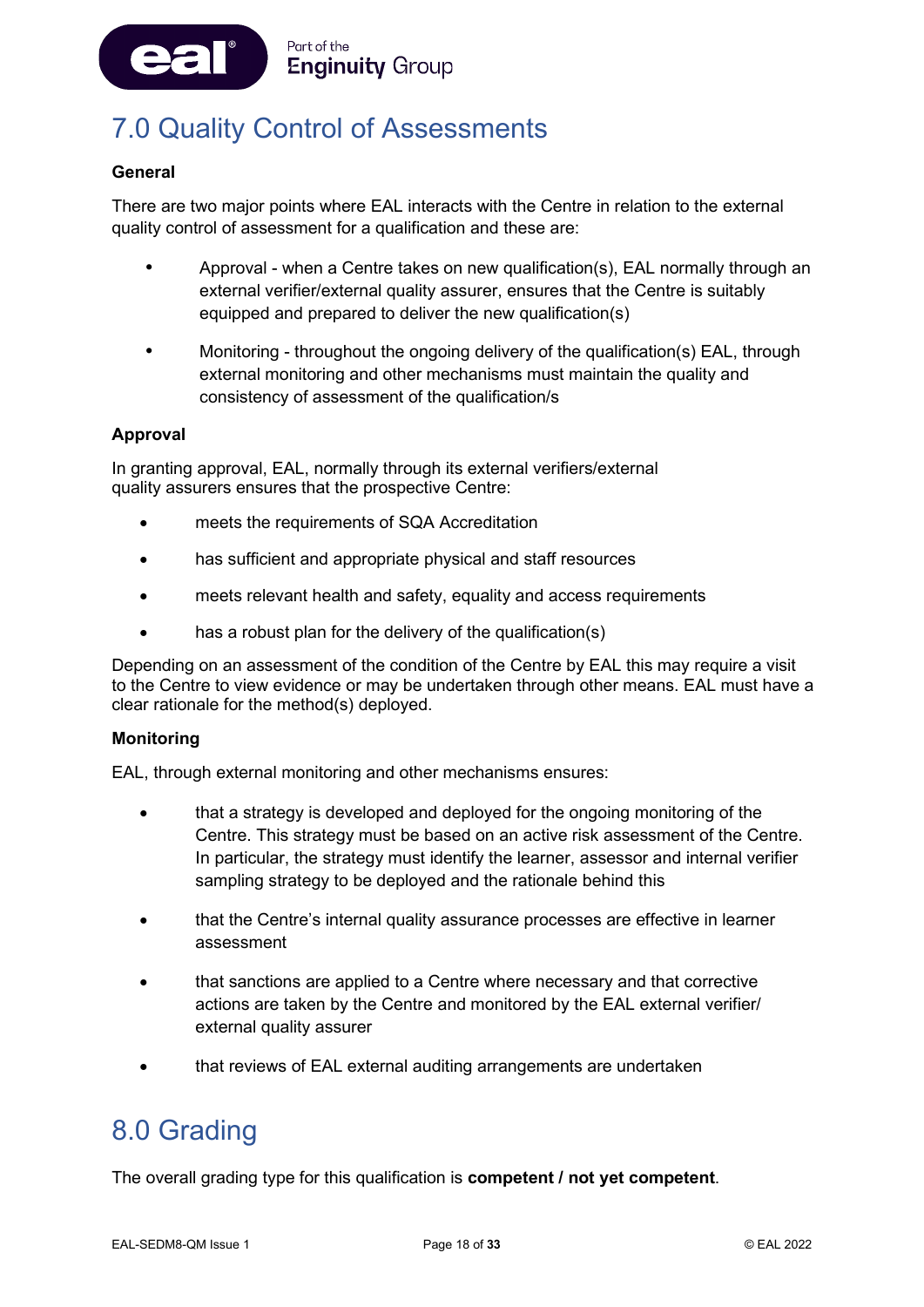

# <span id="page-18-0"></span>7.0 Quality Control of Assessments

#### **General**

There are two major points where EAL interacts with the Centre in relation to the external quality control of assessment for a qualification and these are:

- Approval when a Centre takes on new qualification(s), EAL normally through an external verifier/external quality assurer, ensures that the Centre is suitably equipped and prepared to deliver the new qualification(s)
- Monitoring throughout the ongoing delivery of the qualification(s) EAL, through external monitoring and other mechanisms must maintain the quality and consistency of assessment of the qualification/s

#### **Approval**

In granting approval, EAL, normally through its external verifiers/external quality assurers ensures that the prospective Centre:

- meets the requirements of SQA Accreditation
- has sufficient and appropriate physical and staff resources
- meets relevant health and safety, equality and access requirements
- has a robust plan for the delivery of the qualification(s)

Depending on an assessment of the condition of the Centre by EAL this may require a visit to the Centre to view evidence or may be undertaken through other means. EAL must have a clear rationale for the method(s) deployed.

#### **Monitoring**

EAL, through external monitoring and other mechanisms ensures:

- that a strategy is developed and deployed for the ongoing monitoring of the Centre. This strategy must be based on an active risk assessment of the Centre. In particular, the strategy must identify the learner, assessor and internal verifier sampling strategy to be deployed and the rationale behind this
- that the Centre's internal quality assurance processes are effective in learner assessment
- that sanctions are applied to a Centre where necessary and that corrective actions are taken by the Centre and monitored by the EAL external verifier/ external quality assurer
- that reviews of EAL external auditing arrangements are undertaken

### <span id="page-18-1"></span>8.0 Grading

The overall grading type for this qualification is **competent / not yet competent**.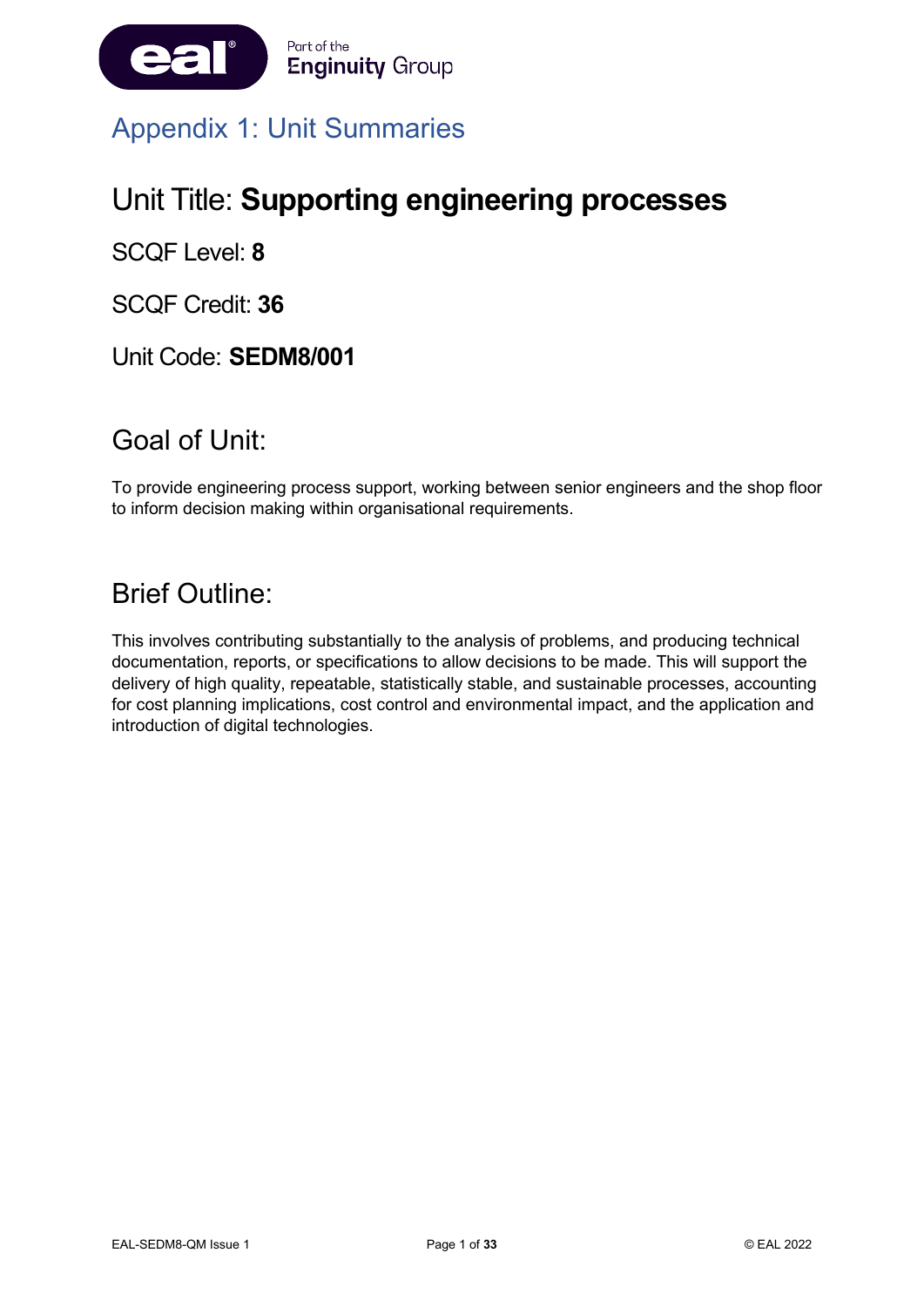

# <span id="page-19-0"></span>Appendix 1: Unit Summaries

# Unit Title: **Supporting engineering processes**

SCQF Level: **8**

SCQF Credit: **36**

Unit Code: **SEDM8/001**

### Goal of Unit:

To provide engineering process support, working between senior engineers and the shop floor to inform decision making within organisational requirements.

### Brief Outline:

This involves contributing substantially to the analysis of problems, and producing technical documentation, reports, or specifications to allow decisions to be made. This will support the delivery of high quality, repeatable, statistically stable, and sustainable processes, accounting for cost planning implications, cost control and environmental impact, and the application and introduction of digital technologies.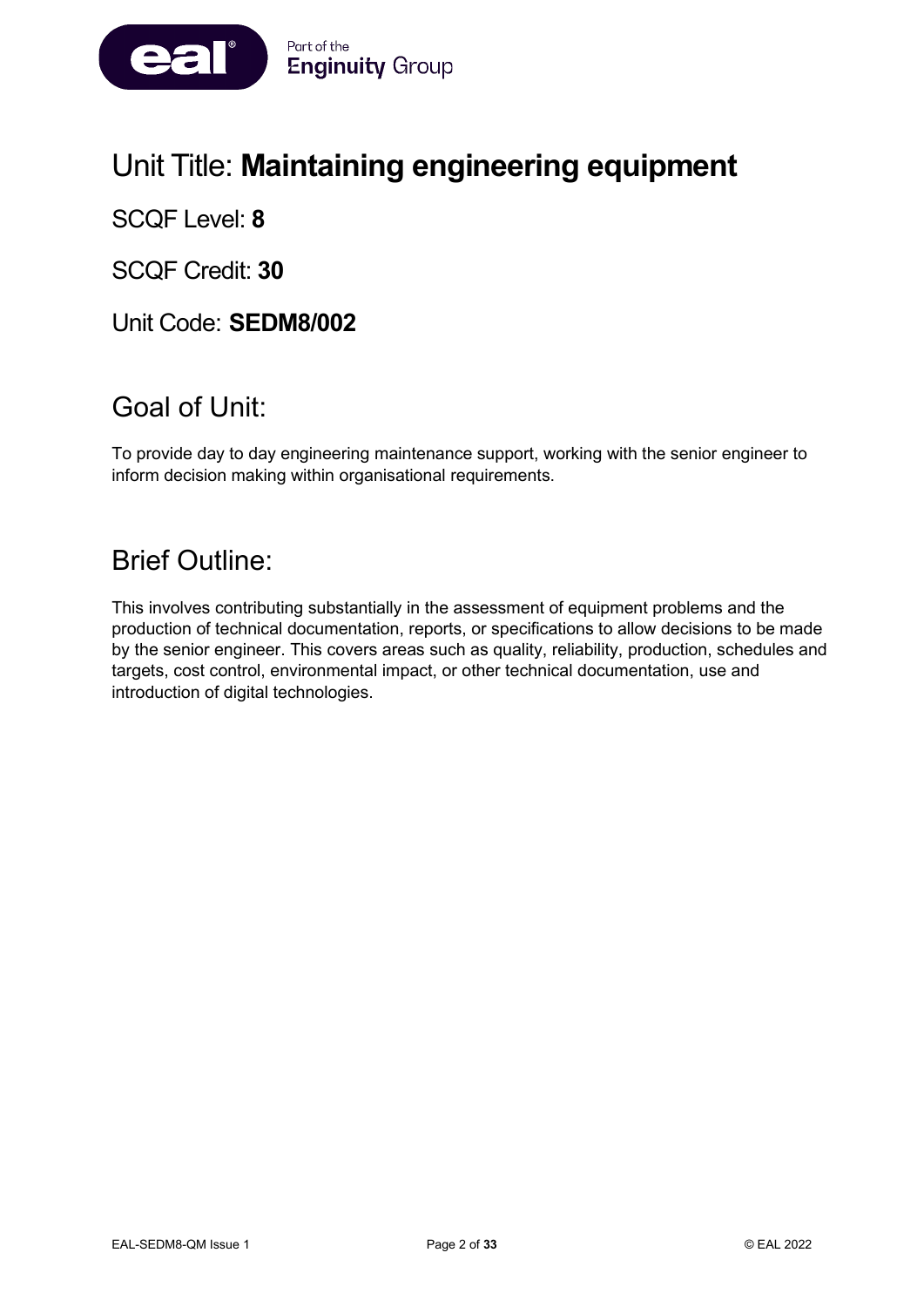

# Unit Title: **Maintaining engineering equipment**

SCQF Level: **8**

SCQF Credit: **30**

Unit Code: **SEDM8/002**

### Goal of Unit:

To provide day to day engineering maintenance support, working with the senior engineer to inform decision making within organisational requirements.

### Brief Outline:

This involves contributing substantially in the assessment of equipment problems and the production of technical documentation, reports, or specifications to allow decisions to be made by the senior engineer. This covers areas such as quality, reliability, production, schedules and targets, cost control, environmental impact, or other technical documentation, use and introduction of digital technologies.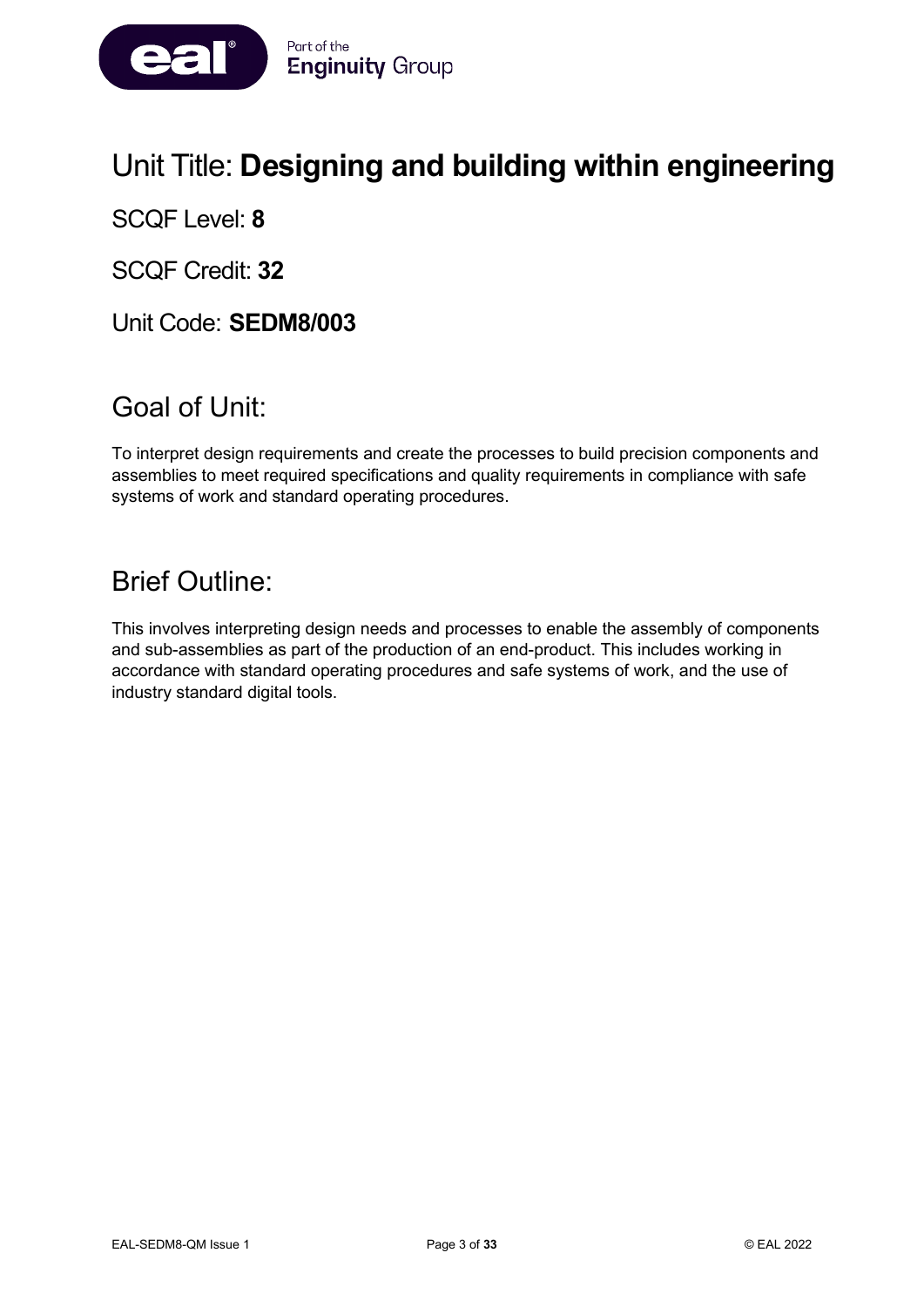

# Unit Title: **Designing and building within engineering**

SCQF Level: **8**

SCQF Credit: **32**

Unit Code: **SEDM8/003**

# Goal of Unit:

To interpret design requirements and create the processes to build precision components and assemblies to meet required specifications and quality requirements in compliance with safe systems of work and standard operating procedures.

# Brief Outline:

This involves interpreting design needs and processes to enable the assembly of components and sub-assemblies as part of the production of an end-product. This includes working in accordance with standard operating procedures and safe systems of work, and the use of industry standard digital tools.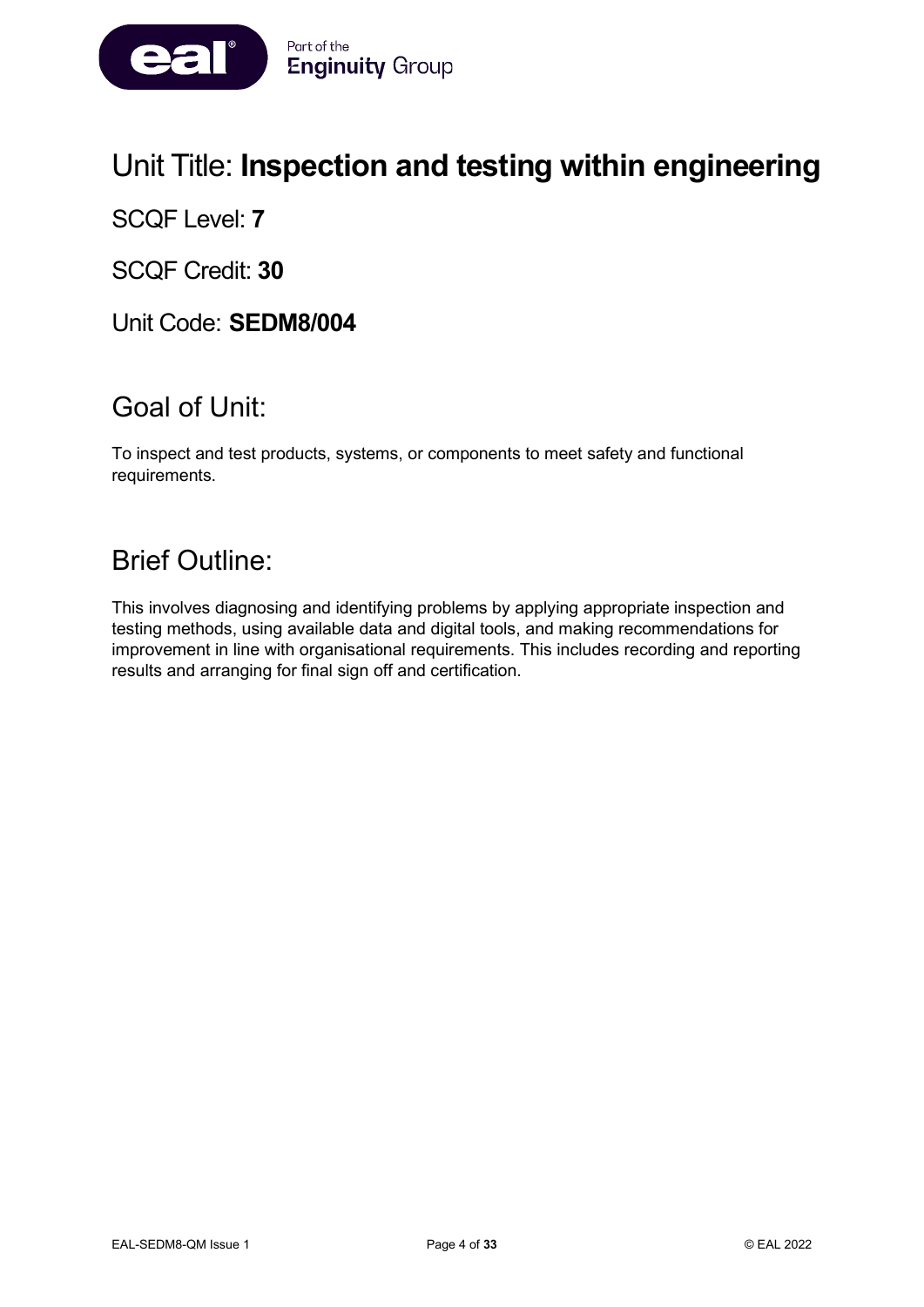

# Unit Title: **Inspection and testing within engineering**

SCQF Level: **7**

SCQF Credit: **30**

Unit Code: **SEDM8/004**

### Goal of Unit:

To inspect and test products, systems, or components to meet safety and functional requirements.

### Brief Outline:

This involves diagnosing and identifying problems by applying appropriate inspection and testing methods, using available data and digital tools, and making recommendations for improvement in line with organisational requirements. This includes recording and reporting results and arranging for final sign off and certification.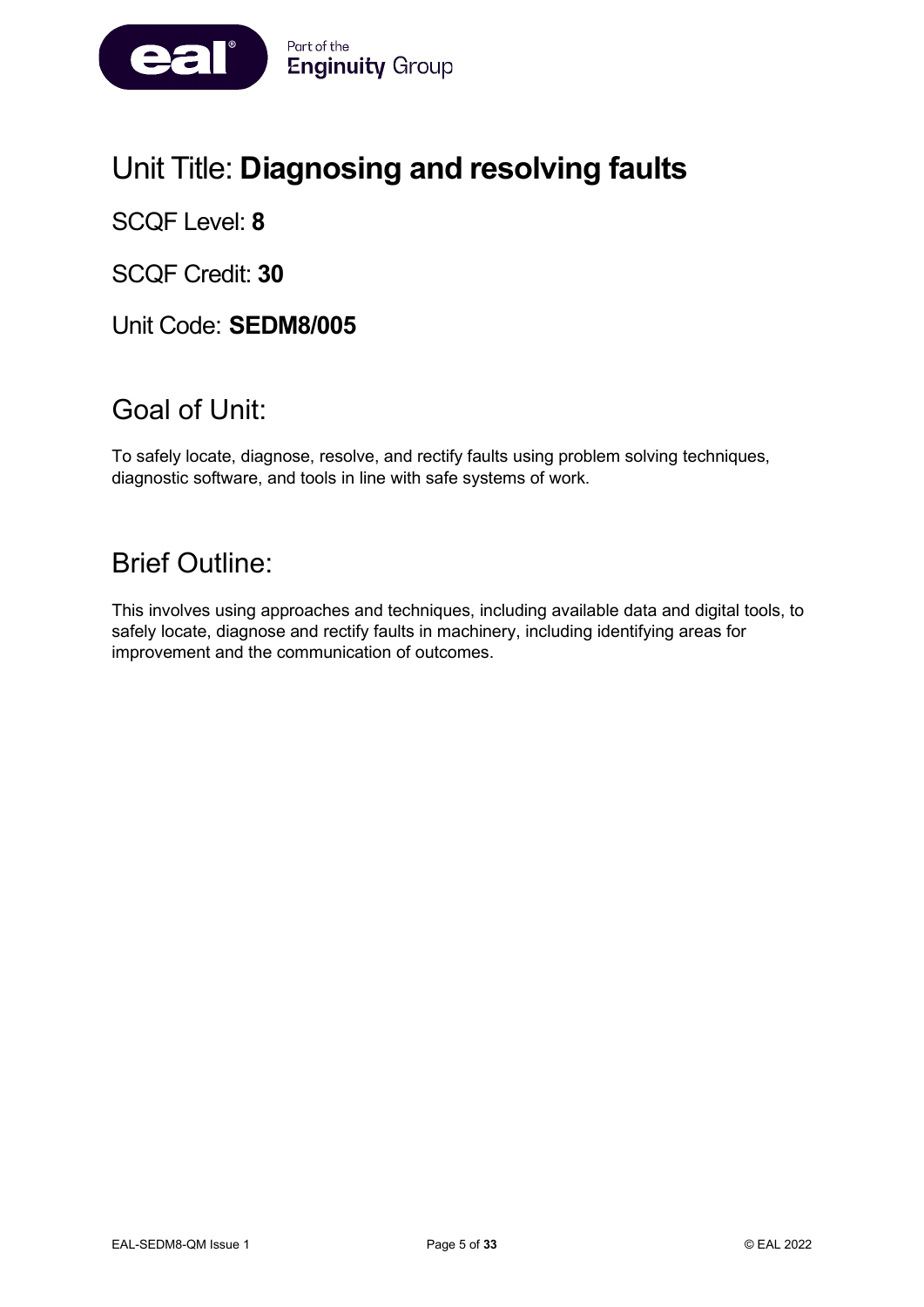

# Unit Title: **Diagnosing and resolving faults**

SCQF Level: **8**

SCQF Credit: **30**

Unit Code: **SEDM8/005**

# Goal of Unit:

To safely locate, diagnose, resolve, and rectify faults using problem solving techniques, diagnostic software, and tools in line with safe systems of work.

### Brief Outline:

This involves using approaches and techniques, including available data and digital tools, to safely locate, diagnose and rectify faults in machinery, including identifying areas for improvement and the communication of outcomes.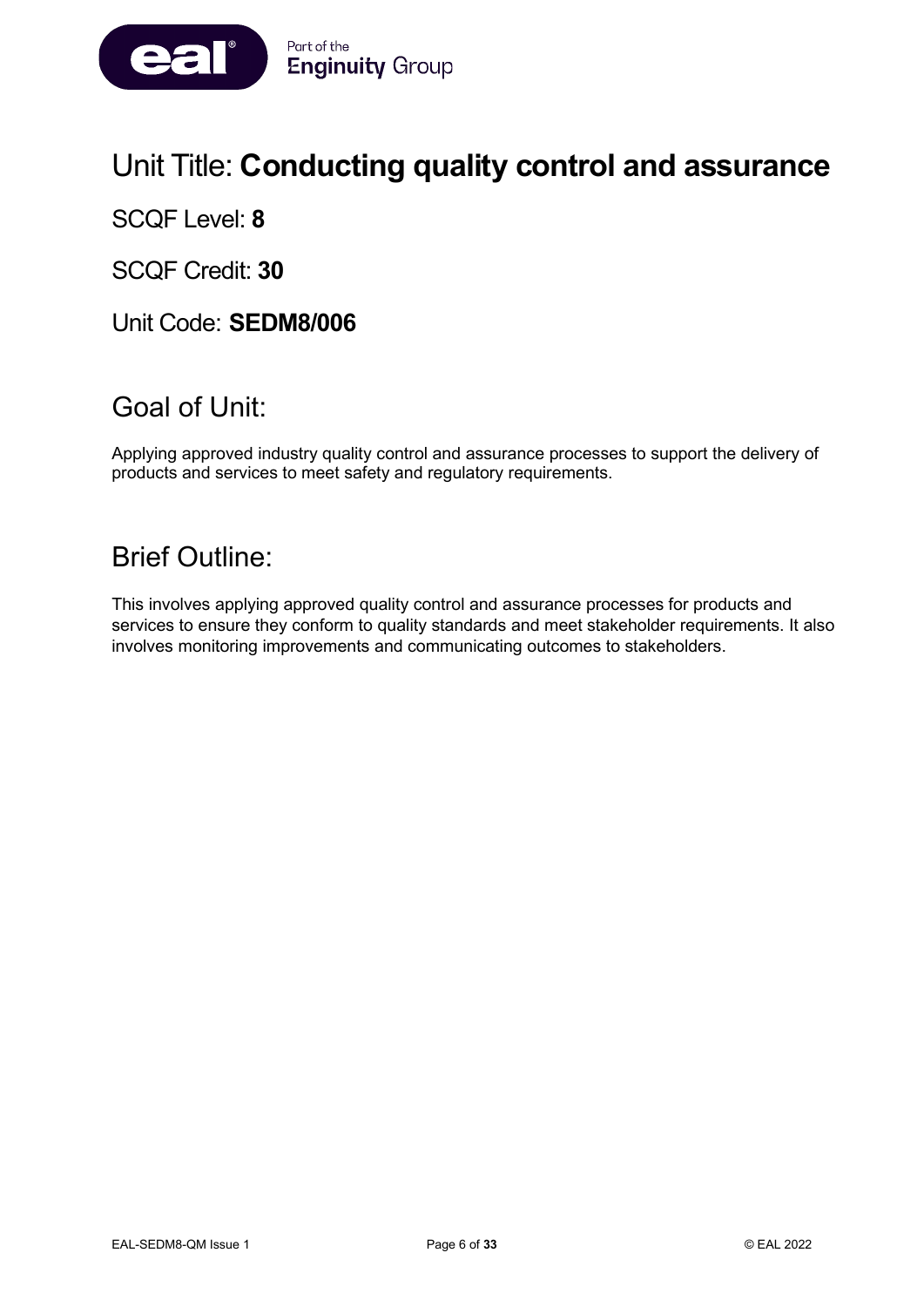

# Unit Title: **Conducting quality control and assurance**

SCQF Level: **8**

SCQF Credit: **30**

Unit Code: **SEDM8/006**

### Goal of Unit:

Applying approved industry quality control and assurance processes to support the delivery of products and services to meet safety and regulatory requirements.

# Brief Outline:

This involves applying approved quality control and assurance processes for products and services to ensure they conform to quality standards and meet stakeholder requirements. It also involves monitoring improvements and communicating outcomes to stakeholders.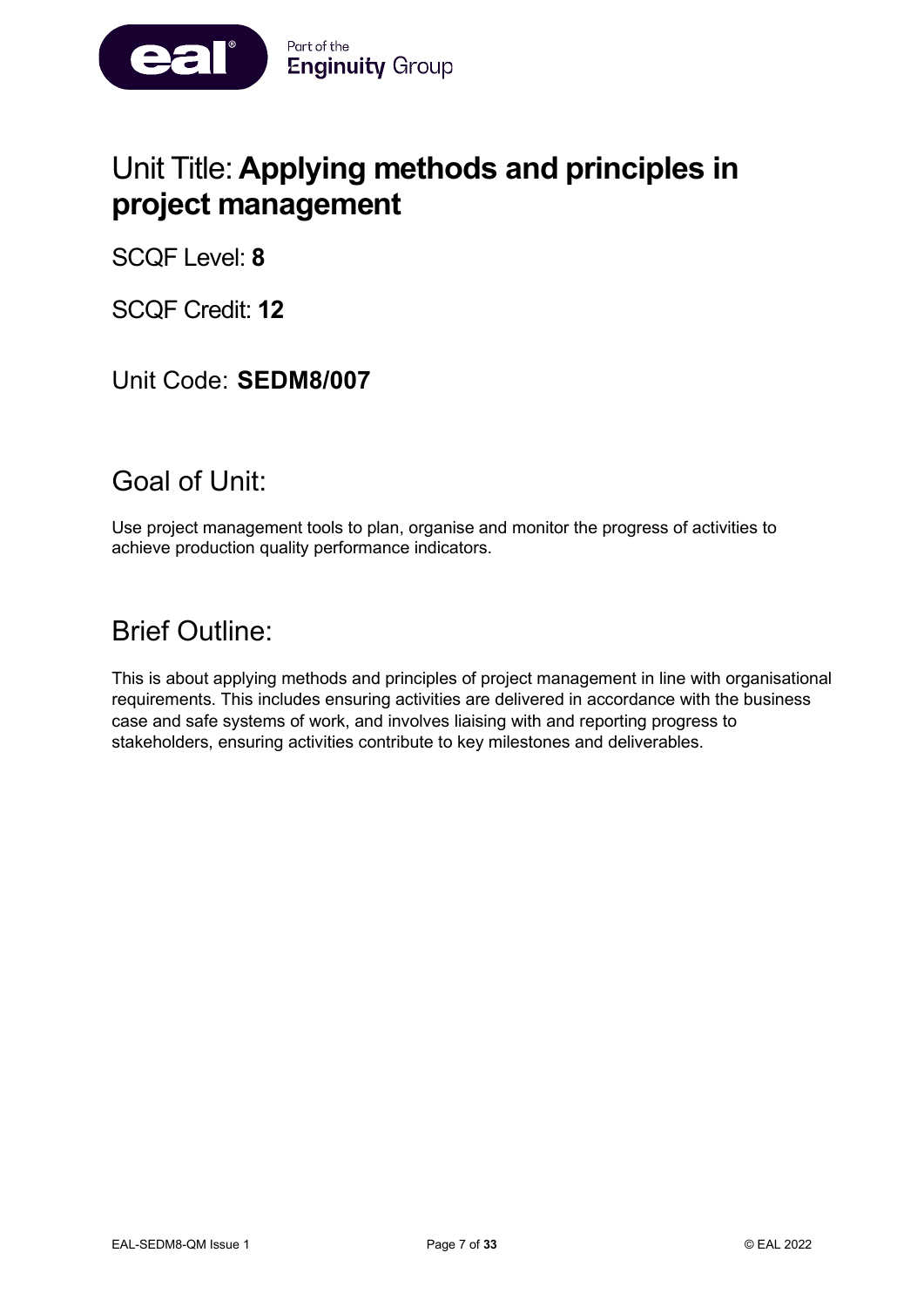

# Unit Title: **Applying methods and principles in project management**

SCQF Level: **8**

SCQF Credit: **12**

### Unit Code: **SEDM8/007**

### Goal of Unit:

Use project management tools to plan, organise and monitor the progress of activities to achieve production quality performance indicators.

### Brief Outline:

This is about applying methods and principles of project management in line with organisational requirements. This includes ensuring activities are delivered in accordance with the business case and safe systems of work, and involves liaising with and reporting progress to stakeholders, ensuring activities contribute to key milestones and deliverables.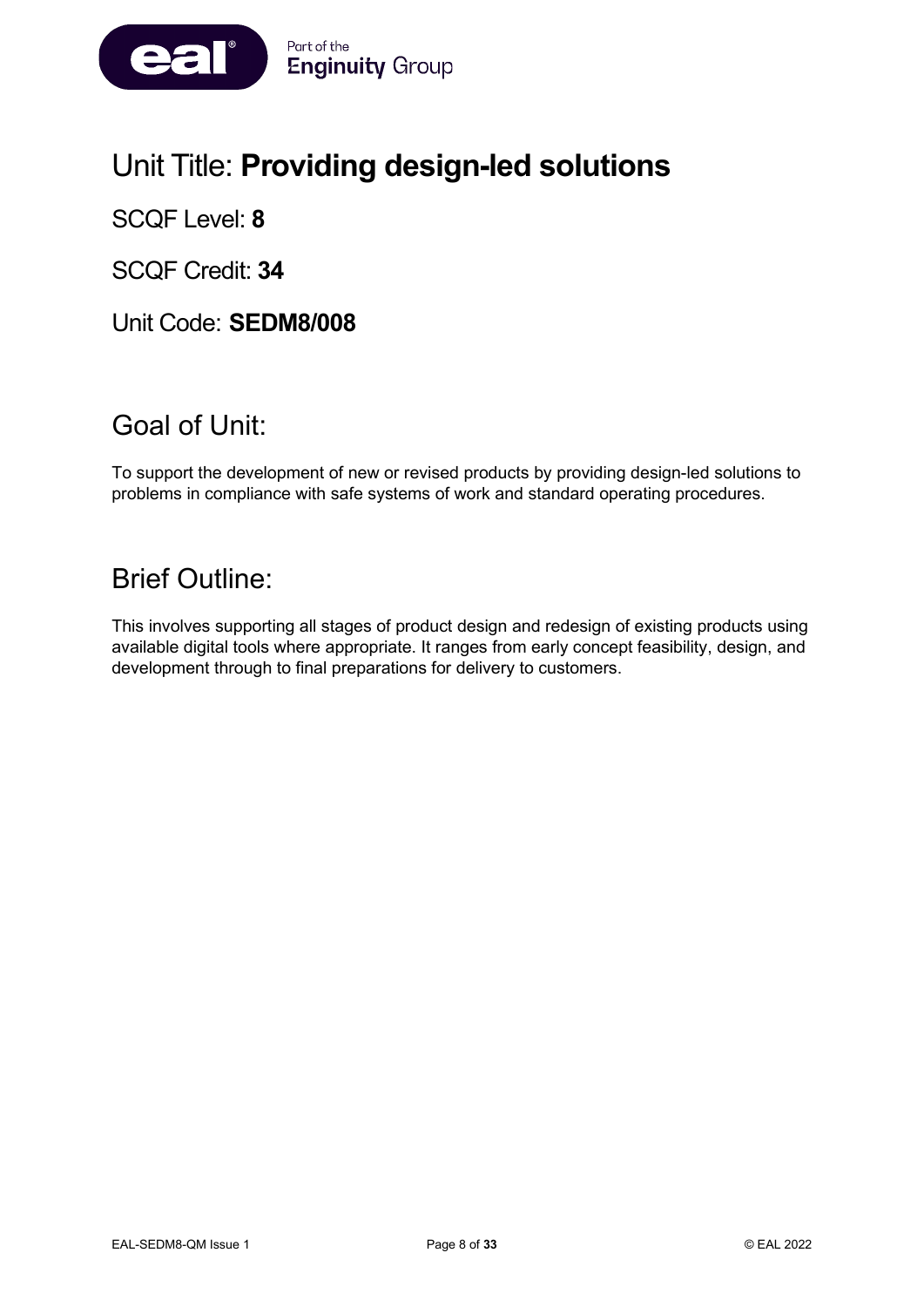

# Unit Title: **Providing design-led solutions**

SCQF Level: **8**

SCQF Credit: **34**

Unit Code: **SEDM8/008**

# Goal of Unit:

To support the development of new or revised products by providing design-led solutions to problems in compliance with safe systems of work and standard operating procedures.

# Brief Outline:

This involves supporting all stages of product design and redesign of existing products using available digital tools where appropriate. It ranges from early concept feasibility, design, and development through to final preparations for delivery to customers.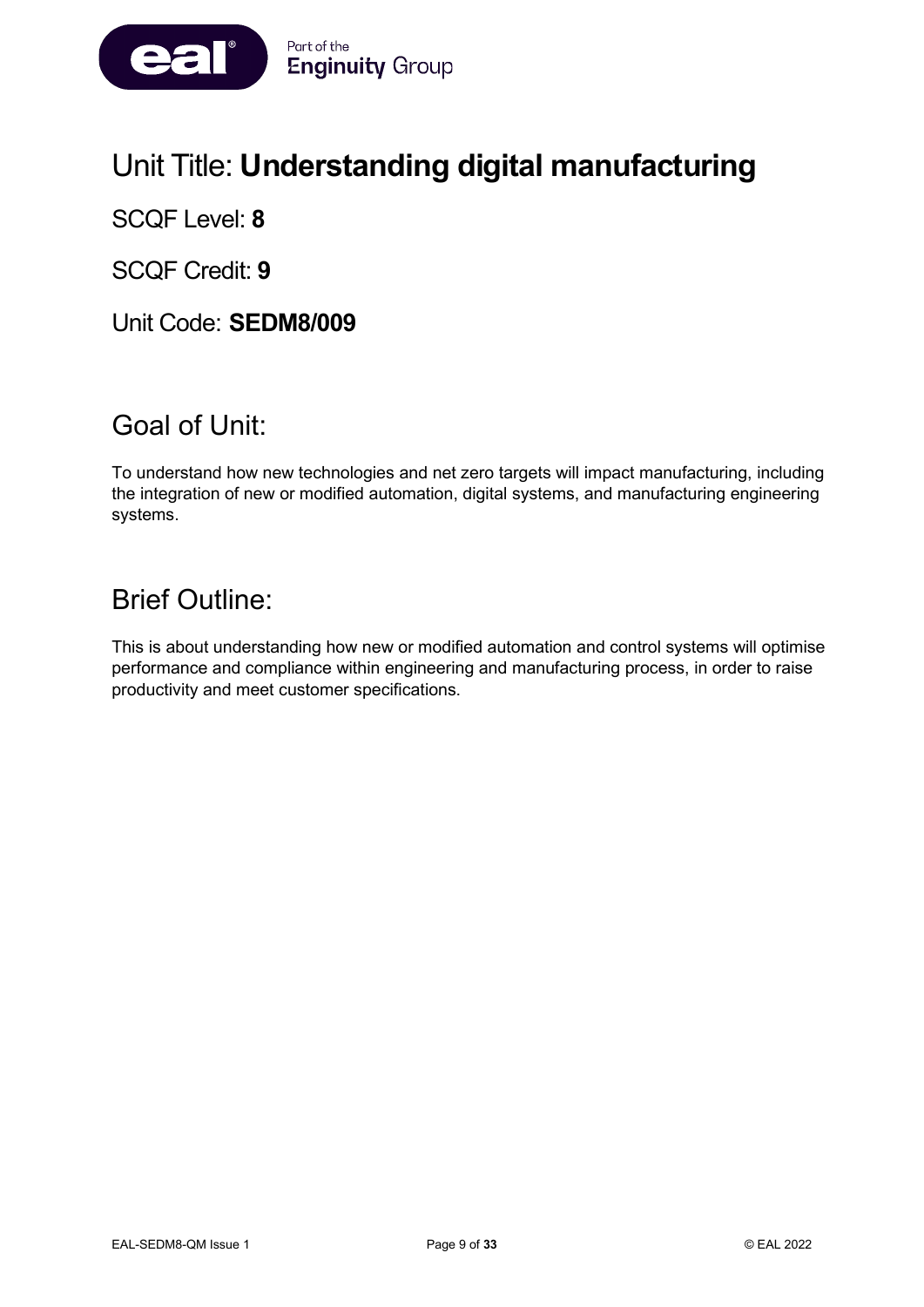

# Unit Title: **Understanding digital manufacturing**

SCQF Level: **8**

SCQF Credit: **9**

Unit Code: **SEDM8/009**

# Goal of Unit:

To understand how new technologies and net zero targets will impact manufacturing, including the integration of new or modified automation, digital systems, and manufacturing engineering systems.

# Brief Outline:

This is about understanding how new or modified automation and control systems will optimise performance and compliance within engineering and manufacturing process, in order to raise productivity and meet customer specifications.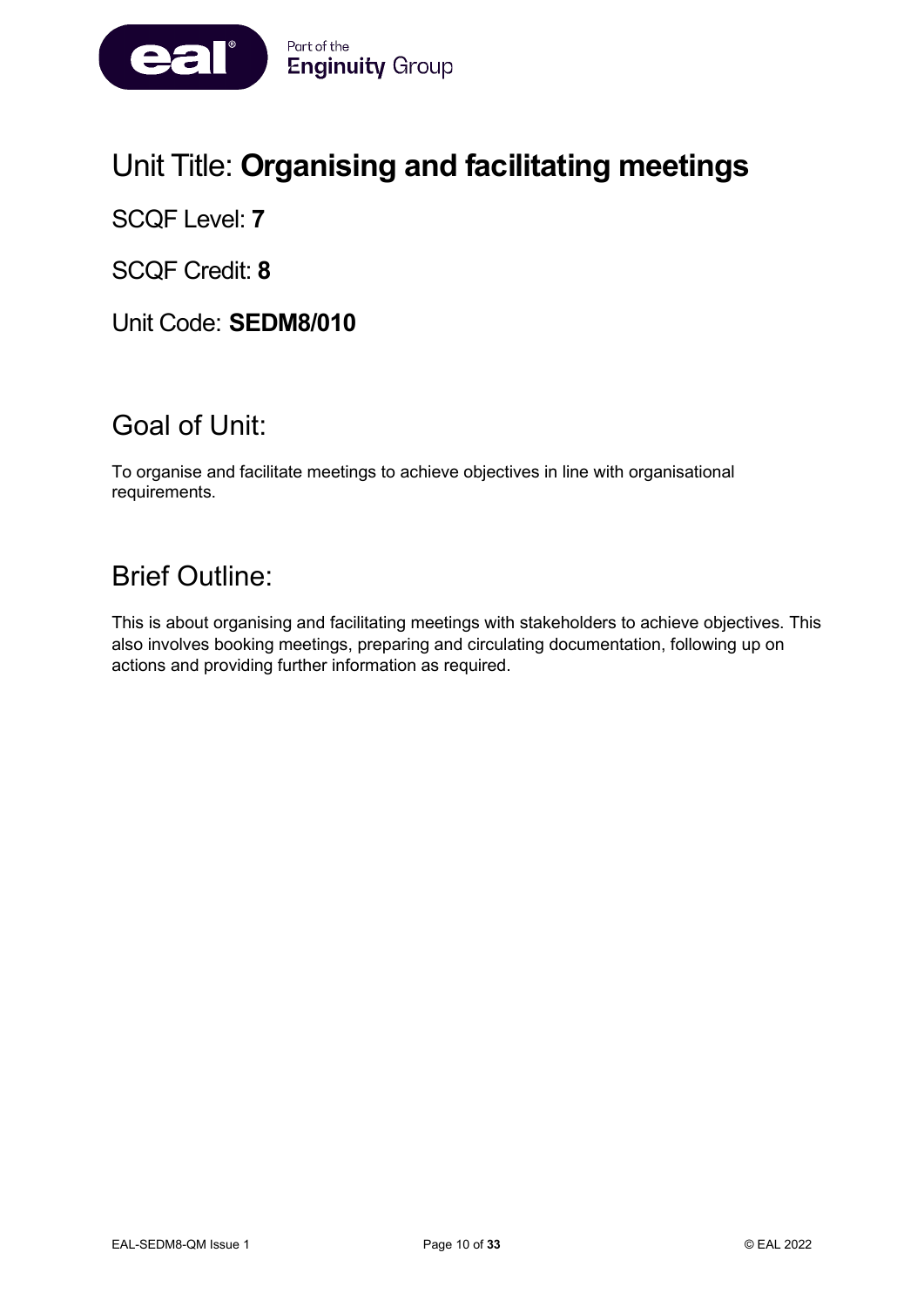

# Unit Title: **Organising and facilitating meetings**

SCQF Level: **7**

SCQF Credit: **8**

Unit Code: **SEDM8/010**

# Goal of Unit:

To organise and facilitate meetings to achieve objectives in line with organisational requirements.

### Brief Outline:

This is about organising and facilitating meetings with stakeholders to achieve objectives. This also involves booking meetings, preparing and circulating documentation, following up on actions and providing further information as required.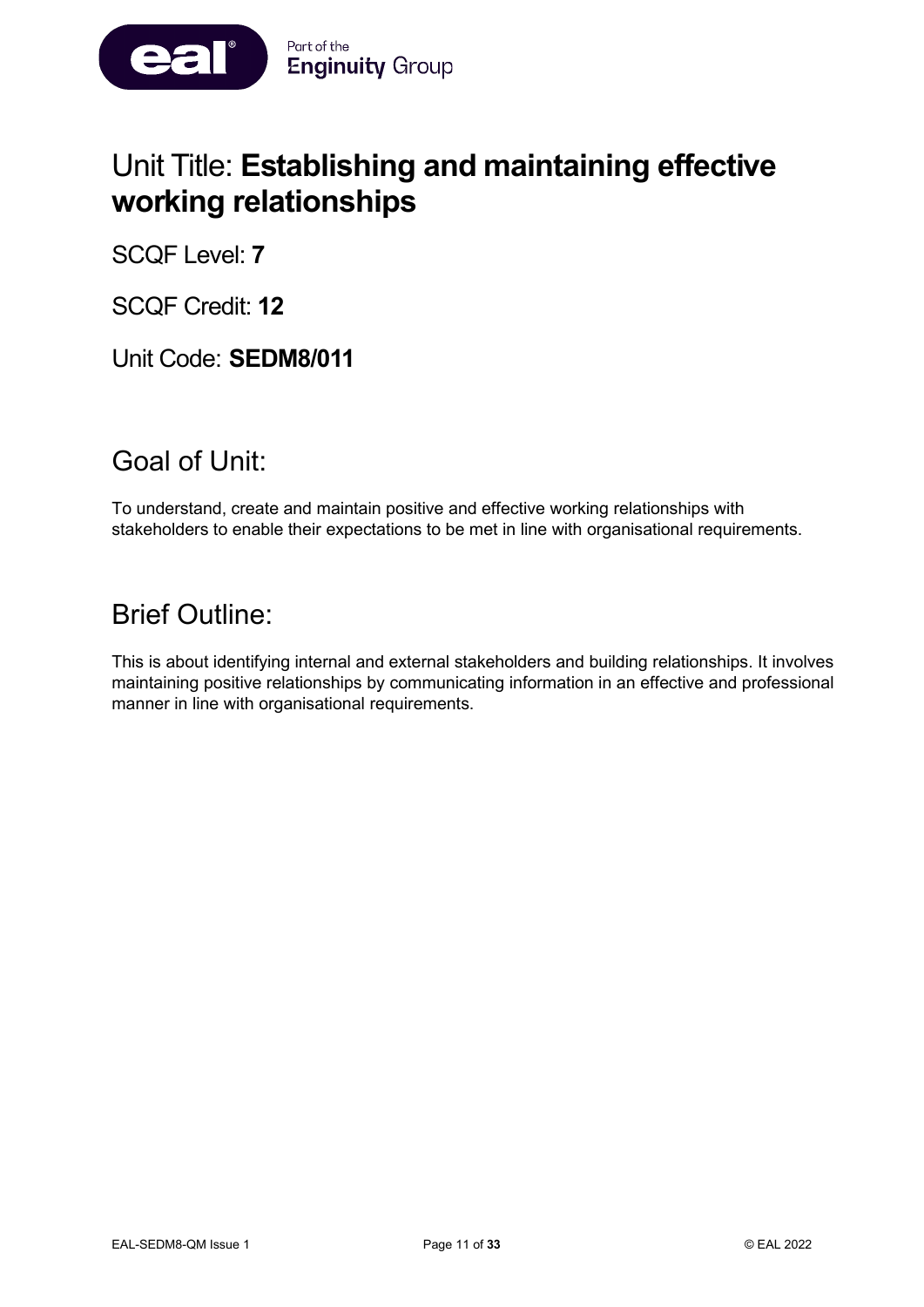

# Unit Title: **Establishing and maintaining effective working relationships**

SCQF Level: **7**

SCQF Credit: **12**

Unit Code: **SEDM8/011**

### Goal of Unit:

To understand, create and maintain positive and effective working relationships with stakeholders to enable their expectations to be met in line with organisational requirements.

### Brief Outline:

This is about identifying internal and external stakeholders and building relationships. It involves maintaining positive relationships by communicating information in an effective and professional manner in line with organisational requirements.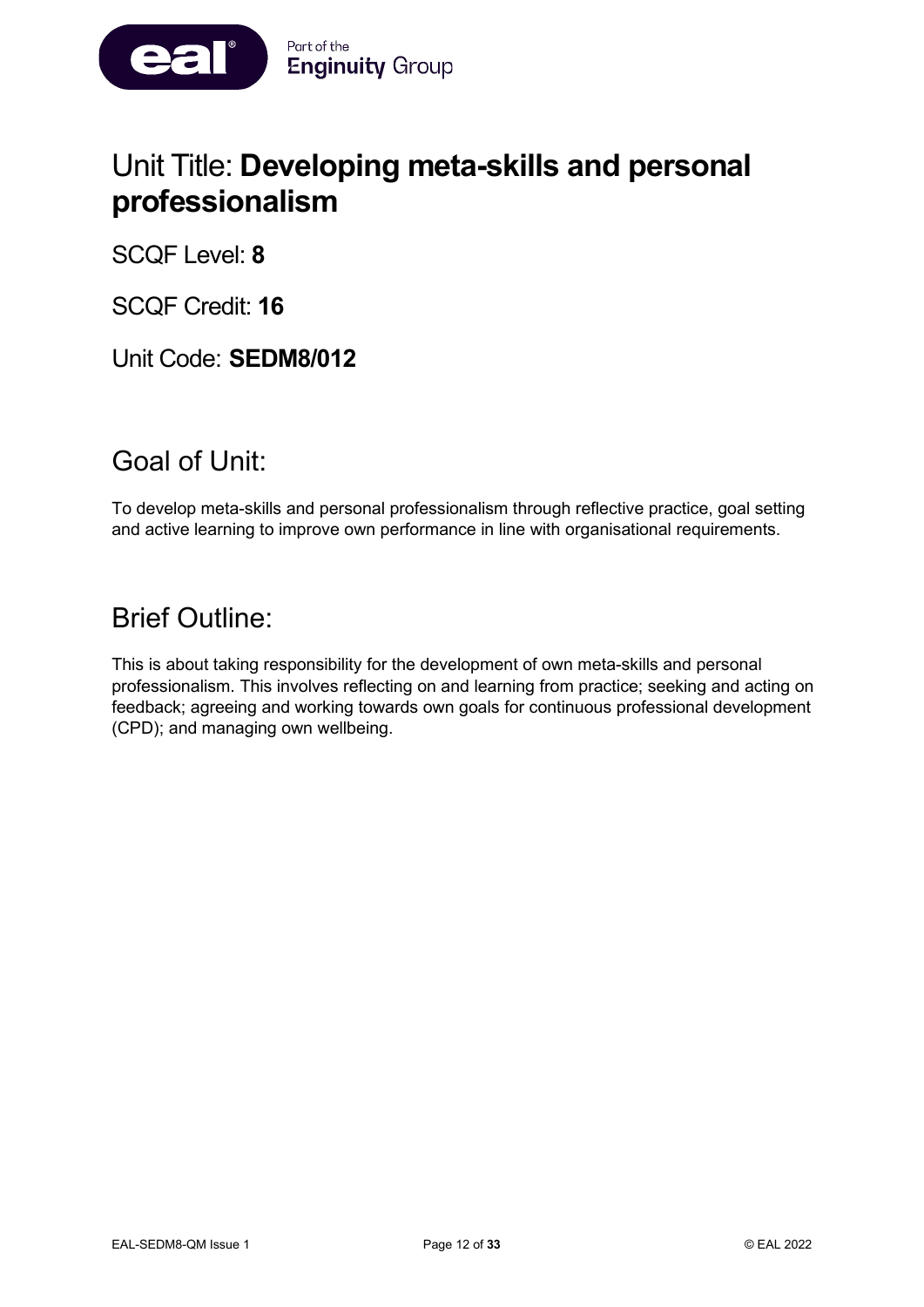

# Unit Title: **Developing meta-skills and personal professionalism**

SCQF Level: **8**

SCQF Credit: **16**

Unit Code: **SEDM8/012**

### Goal of Unit:

To develop meta-skills and personal professionalism through reflective practice, goal setting and active learning to improve own performance in line with organisational requirements.

### Brief Outline:

This is about taking responsibility for the development of own meta-skills and personal professionalism. This involves reflecting on and learning from practice; seeking and acting on feedback; agreeing and working towards own goals for continuous professional development (CPD); and managing own wellbeing.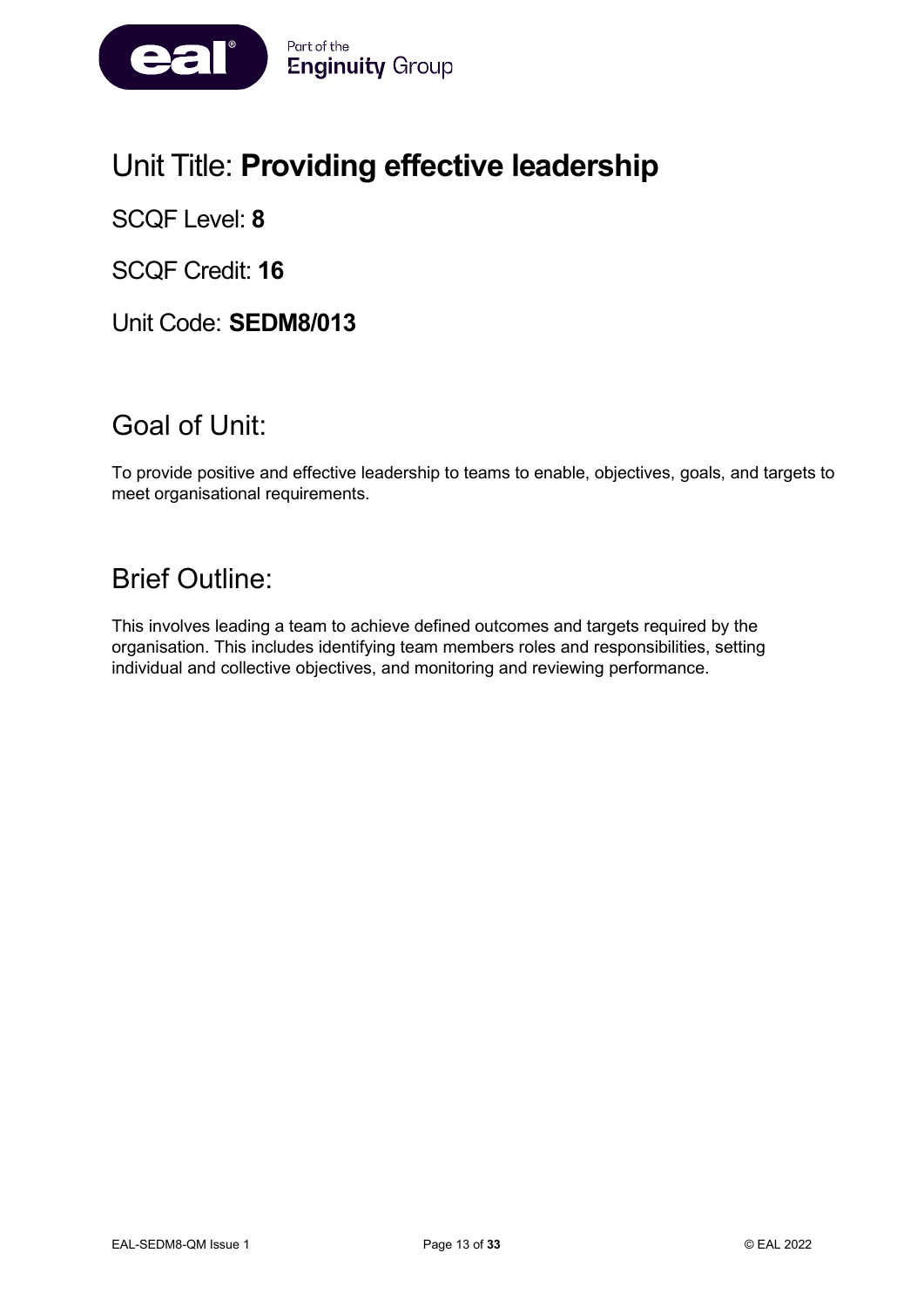

# Unit Title: **Providing effective leadership**

SCQF Level: **8**

SCQF Credit: **16**

Unit Code: **SEDM8/013**

# Goal of Unit:

To provide positive and effective leadership to teams to enable, objectives, goals, and targets to meet organisational requirements.

# Brief Outline:

This involves leading a team to achieve defined outcomes and targets required by the organisation. This includes identifying team members roles and responsibilities, setting individual and collective objectives, and monitoring and reviewing performance.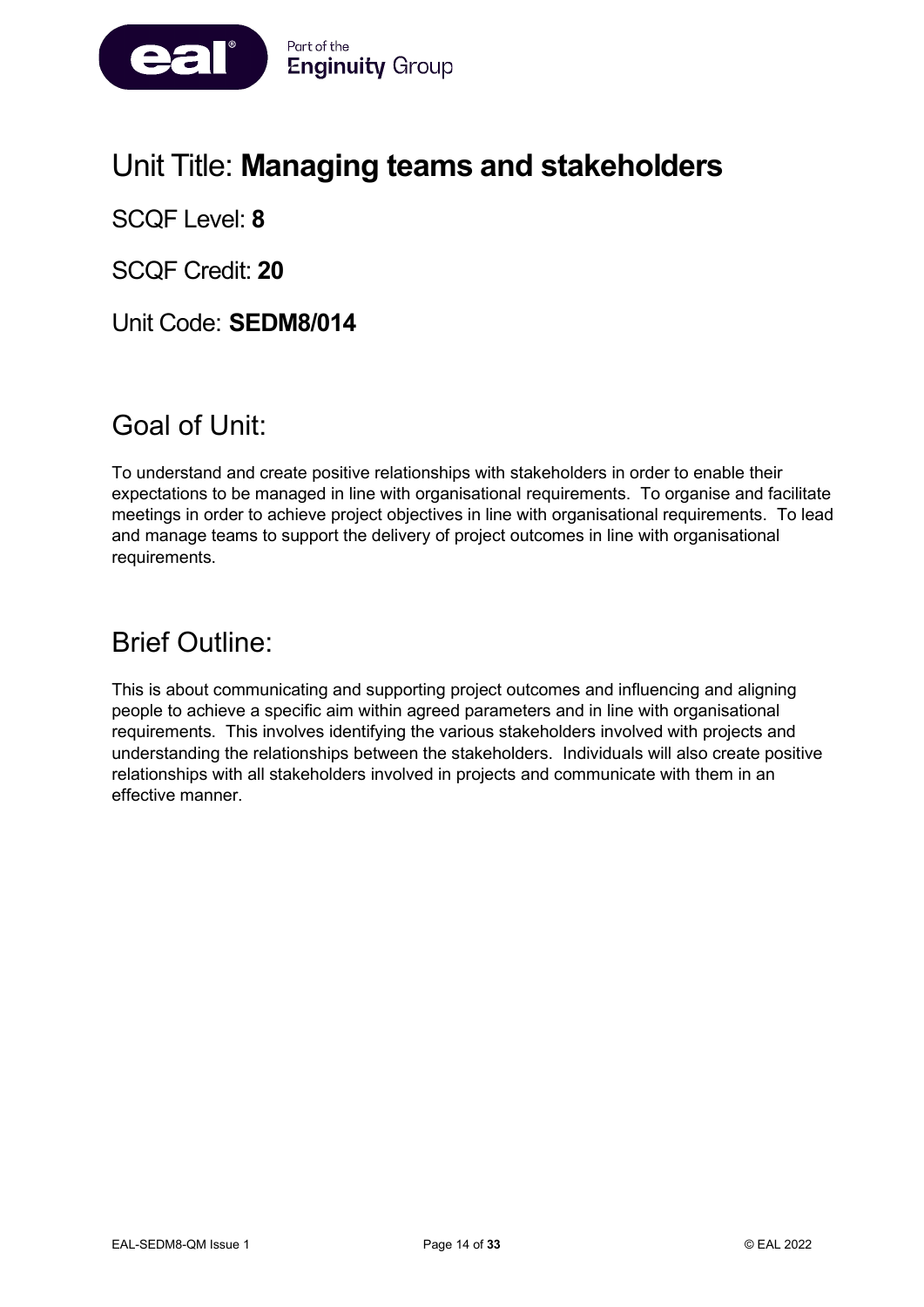

# Unit Title: **Managing teams and stakeholders**

SCQF Level: **8**

SCQF Credit: **20**

Unit Code: **SEDM8/014**

# Goal of Unit:

To understand and create positive relationships with stakeholders in order to enable their expectations to be managed in line with organisational requirements. To organise and facilitate meetings in order to achieve project objectives in line with organisational requirements. To lead and manage teams to support the delivery of project outcomes in line with organisational requirements.

### Brief Outline:

This is about communicating and supporting project outcomes and influencing and aligning people to achieve a specific aim within agreed parameters and in line with organisational requirements. This involves identifying the various stakeholders involved with projects and understanding the relationships between the stakeholders. Individuals will also create positive relationships with all stakeholders involved in projects and communicate with them in an effective manner.